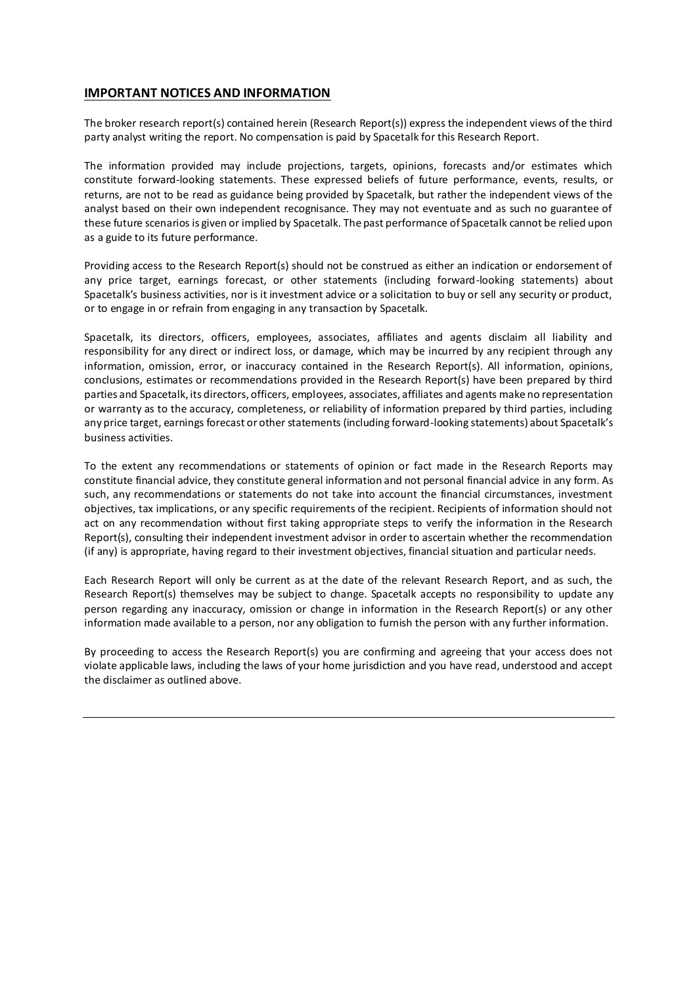### **IMPORTANT NOTICES AND INFORMATION**

The broker research report(s) contained herein (Research Report(s)) express the independent views of the third party analyst writing the report. No compensation is paid by Spacetalk for this Research Report.

The information provided may include projections, targets, opinions, forecasts and/or estimates which constitute forward-looking statements. These expressed beliefs of future performance, events, results, or returns, are not to be read as guidance being provided by Spacetalk, but rather the independent views of the analyst based on their own independent recognisance. They may not eventuate and as such no guarantee of these future scenarios is given or implied by Spacetalk. The past performance of Spacetalk cannot be relied upon as a guide to its future performance.

Providing access to the Research Report(s) should not be construed as either an indication or endorsement of any price target, earnings forecast, or other statements (including forward-looking statements) about Spacetalk's business activities, nor is it investment advice or a solicitation to buy or sell any security or product, or to engage in or refrain from engaging in any transaction by Spacetalk.

Spacetalk, its directors, officers, employees, associates, affiliates and agents disclaim all liability and responsibility for any direct or indirect loss, or damage, which may be incurred by any recipient through any information, omission, error, or inaccuracy contained in the Research Report(s). All information, opinions, conclusions, estimates or recommendations provided in the Research Report(s) have been prepared by third parties and Spacetalk, its directors, officers, employees, associates, affiliates and agents make no representation or warranty as to the accuracy, completeness, or reliability of information prepared by third parties, including any price target, earnings forecast or other statements (including forward-looking statements) about Spacetalk's business activities.

To the extent any recommendations or statements of opinion or fact made in the Research Reports may constitute financial advice, they constitute general information and not personal financial advice in any form. As such, any recommendations or statements do not take into account the financial circumstances, investment objectives, tax implications, or any specific requirements of the recipient. Recipients of information should not act on any recommendation without first taking appropriate steps to verify the information in the Research Report(s), consulting their independent investment advisor in order to ascertain whether the recommendation (if any) is appropriate, having regard to their investment objectives, financial situation and particular needs.

Each Research Report will only be current as at the date of the relevant Research Report, and as such, the Research Report(s) themselves may be subject to change. Spacetalk accepts no responsibility to update any person regarding any inaccuracy, omission or change in information in the Research Report(s) or any other information made available to a person, nor any obligation to furnish the person with any further information.

By proceeding to access the Research Report(s) you are confirming and agreeing that your access does not violate applicable laws, including the laws of your home jurisdiction and you have read, understood and accept the disclaimer as outlined above.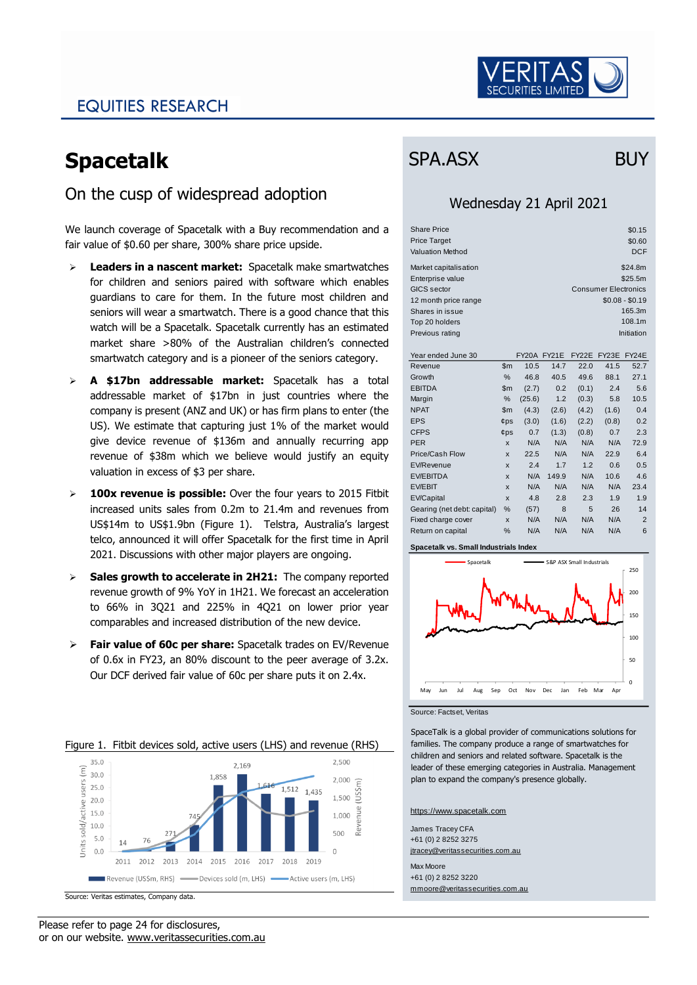

### EQUITIES RESEARCH

# **Spacetalk**

### On the cusp of widespread adoption

We launch coverage of Spacetalk with a Buy recommendation and a fair value of \$0.60 per share, 300% share price upside.

- ➢ **Leaders in a nascent market:** Spacetalk make smartwatches for children and seniors paired with software which enables guardians to care for them. In the future most children and seniors will wear a smartwatch. There is a good chance that this watch will be a Spacetalk. Spacetalk currently has an estimated market share >80% of the Australian children's connected smartwatch category and is a pioneer of the seniors category.
- ➢ **A \$17bn addressable market:** Spacetalk has a total addressable market of \$17bn in just countries where the company is present (ANZ and UK) or has firm plans to enter (the US). We estimate that capturing just 1% of the market would give device revenue of \$136m and annually recurring app revenue of \$38m which we believe would justify an equity valuation in excess of \$3 per share.
- ➢ **100x revenue is possible:** Over the four years to 2015 Fitbit increased units sales from 0.2m to 21.4m and revenues from US\$14m to US\$1.9bn (Figure 1). Telstra, Australia's largest telco, announced it will offer Spacetalk for the first time in April 2021. Discussions with other major players are ongoing.
- ➢ **Sales growth to accelerate in 2H21:** The company reported revenue growth of 9% YoY in 1H21. We forecast an acceleration to 66% in 3Q21 and 225% in 4Q21 on lower prior year comparables and increased distribution of the new device.
- ➢ **Fair value of 60c per share:** Spacetalk trades on EV/Revenue of 0.6x in FY23, an 80% discount to the peer average of 3.2x. Our DCF derived fair value of 60c per share puts it on 2.4x.

#### Figure 1. Fitbit devices sold, active users (LHS) and revenue (RHS)  $35.0$ 2,500  $2.169$  $\widehat{\Xi}$  30.0 1.858  $2.000$ sold/active users  $25.0$ 1,512 1.435 USŚ 1.500 20.0 enue 15.0 1.000  $10.0$ Rev

James Tracey CFA +61 (0) 2 8252 3275 jtracey@veritassecurities.com.au

https://www.spacetalk.com

Max Moore +61 (0) 2 8252 3220 mmoore@veritassecurities.com.au

# SPA.ASX BUY

### Wednesday 21 April 2021

| <b>Share Price</b>      |        |                    |       |                    |                             | \$0.15          |
|-------------------------|--------|--------------------|-------|--------------------|-----------------------------|-----------------|
| <b>Price Target</b>     |        |                    |       |                    |                             | \$0.60          |
| <b>Valuation Method</b> |        |                    |       |                    |                             | <b>DCF</b>      |
| Market capitalisation   |        |                    |       |                    |                             | \$24.8m         |
| Enterprise value        |        |                    |       |                    |                             | \$25.5m         |
|                         |        |                    |       |                    |                             |                 |
| <b>GICS</b> sector      |        |                    |       |                    | <b>Consumer Electronics</b> |                 |
| 12 month price range    |        |                    |       |                    |                             | $$0.08 - $0.19$ |
| Shares in issue         |        |                    |       |                    |                             | 165.3m          |
| Top 20 holders          |        |                    |       |                    |                             | 108.1m          |
| Previous rating         |        |                    |       |                    |                             | Initiation      |
|                         |        |                    |       |                    |                             |                 |
| Year ended June 30      |        | <b>FY20A FY21E</b> |       | FY <sub>22</sub> E | FY23E                       | FY24E           |
| Revenue                 | \$m\$  | 10.5               | 14.7  | 22.0               | 41.5                        | 52.7            |
| Growth                  | $\%$   | 46.8               | 40.5  | 49.6               | 88.1                        | 27.1            |
| <b>EBITDA</b>           | \$m    | (2.7)              | 0.2   | (0.1)              | 2.4                         | 5.6             |
| Margin                  | %      | (25.6)             | 1.2   | (0.3)              | 5.8                         | 10.5            |
| <b>NPAT</b>             | \$m    | (4.3)              | (2.6) | (4.2)              | (1.6)                       | 0.4             |
| <b>EPS</b>              | $¢$ ps | (3.0)              | (1.6) | (2.2)              | (0.8)                       | 0.2             |
| <b>CFPS</b>             | $¢$ ps | 0.7                | (1.3) | (0.8)              | 0.7                         | 2.3             |
| <b>PER</b>              | X      | N/A                | N/A   | N/A                | N/A                         | 72.9            |
| Price/Cash Flow         | X      | 22.5               | N/A   | N/A                | 22.9                        | 6.4             |
| EV/Revenue              | X      | 2.4                | 1.7   | 1.2                | 0.6                         | 0.5             |

| Revenue                     | ъm     | 10.5   | 14.7  | 22.U  | 41.D  | 52.1           |  |
|-----------------------------|--------|--------|-------|-------|-------|----------------|--|
| Growth                      | %      | 46.8   | 40.5  | 49.6  | 88.1  | 27.1           |  |
| <b>EBITDA</b>               | \$m    | (2.7)  | 0.2   | (0.1) | 2.4   | 5.6            |  |
| Margin                      | %      | (25.6) | 1.2   | (0.3) | 5.8   | 10.5           |  |
| <b>NPAT</b>                 | \$m    | (4.3)  | (2.6) | (4.2) | (1.6) | 0.4            |  |
| <b>EPS</b>                  | $¢$ ps | (3.0)  | (1.6) | (2.2) | (0.8) | 0.2            |  |
| <b>CFPS</b>                 | $¢$ ps | 0.7    | (1.3) | (0.8) | 0.7   | 2.3            |  |
| <b>PER</b>                  | X      | N/A    | N/A   | N/A   | N/A   | 72.9           |  |
| Price/Cash Flow             | X      | 22.5   | N/A   | N/A   | 22.9  | 6.4            |  |
| EV/Revenue                  | X      | 2.4    | 1.7   | 1.2   | 0.6   | 0.5            |  |
| <b>EV/EBITDA</b>            | X      | N/A    | 149.9 | N/A   | 10.6  | 4.6            |  |
| <b>EV/EBIT</b>              | X      | N/A    | N/A   | N/A   | N/A   | 23.4           |  |
| <b>EV/Capital</b>           | X      | 4.8    | 2.8   | 2.3   | 1.9   | 1.9            |  |
| Gearing (net debt: capital) | %      | (57)   | 8     | 5     | 26    | 14             |  |
| Fixed charge cover          | X      | N/A    | N/A   | N/A   | N/A   | $\overline{2}$ |  |
| Return on capital           | %      | N/A    | N/A   | N/A   | N/A   | 6              |  |
|                             |        |        |       |       |       |                |  |

#### **Spacetalk vs. Small Industrials Index**



SpaceTalk is a global provider of communications solutions for families. The company produce a range of smartwatches for children and seniors and related software. Spacetalk is the leader of these emerging categories in Australia. Management

plan to expand the company's presence globally.

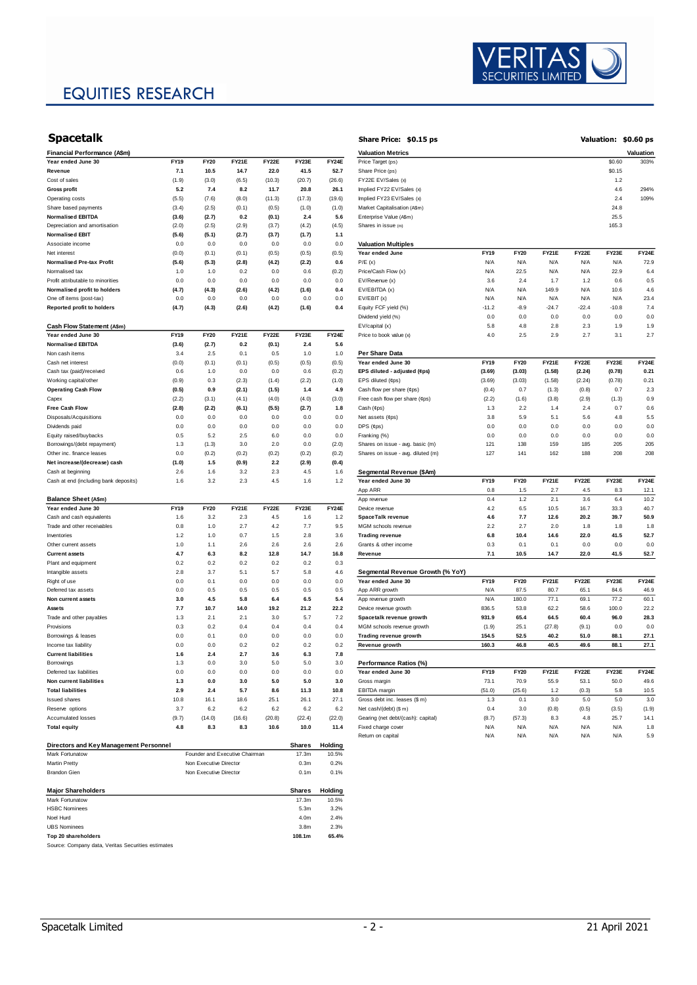## EQUITIES RESEARCH



| <b>Spacetalk</b>                       |             |                        |                                |        |                  |         | Share Price: \$0.15 ps             |             |             |              |         |         | Valuation: \$0.60 ps |
|----------------------------------------|-------------|------------------------|--------------------------------|--------|------------------|---------|------------------------------------|-------------|-------------|--------------|---------|---------|----------------------|
| Financial Performance (A\$m)           |             |                        |                                |        |                  |         | <b>Valuation Metrics</b>           |             |             |              |         |         | Valuation            |
| Year ended June 30                     | FY19        | FY20                   | <b>FY21E</b>                   | FY22E  | FY23E            | FY24E   | Price Target (ps)                  |             |             |              |         | \$0.60  | 303%                 |
| Revenue                                | 7.1         | 10.5                   | 14.7                           | 22.0   | 41.5             | 52.7    | Share Price (ps)                   |             |             |              |         | \$0.15  |                      |
| Cost of sales                          | (1.9)       | (3.0)                  | (6.5)                          | (10.3) | (20.7)           | (26.6)  | FY22E EV/Sales (x)                 |             |             |              |         | 1.2     |                      |
| <b>Gross profit</b>                    | 5.2         | 7.4                    | 8.2                            | 11.7   | 20.8             | 26.1    | Implied FY22 EV/Sales (x)          |             |             |              |         | 4.6     | 294%                 |
| Operating costs                        | (5.5)       | (7.6)                  | (8.0)                          | (11.3) | (17.3)           | (19.6)  | Implied FY23 EV/Sales (x)          |             |             |              |         | 2.4     | 109%                 |
| Share based payments                   | (3.4)       | (2.5)                  | (0.1)                          | (0.5)  | (1.0)            | (1.0)   | Market Capitalisation (A\$m)       |             |             |              |         | 24.8    |                      |
| <b>Normalised EBITDA</b>               | (3.6)       | (2.7)                  | 0.2                            | (0.1)  | 2.4              | 5.6     | Enterprise Value (A\$m)            |             |             |              |         | 25.5    |                      |
| Depreciation and amortisation          | (2.0)       | (2.5)                  | (2.9)                          | (3.7)  | (4.2)            | (4.5)   | Shares in issue (m)                |             |             |              |         | 165.3   |                      |
| Normalised EBIT                        | (5.6)       | (5.1)                  | (2.7)                          | (3.7)  | (1.7)            | 1.1     |                                    |             |             |              |         |         |                      |
| Associate income                       | 0.0         | 0.0                    | 0.0                            | 0.0    | 0.0              | 0.0     | <b>Valuation Multiples</b>         |             |             |              |         |         |                      |
| Net interest                           | (0.0)       | (0.1)                  | (0.1)                          | (0.5)  | (0.5)            | (0.5)   | Year ended June                    | <b>FY19</b> | <b>FY20</b> | <b>FY21E</b> | FY22E   | FY23E   | FY24E                |
| Normalised Pre-tax Profit              | (5.6)       | (5.3)                  | (2.8)                          | (4.2)  | (2.2)            | 0.6     | P/E(x)                             | N/A         | N/A         | <b>N/A</b>   | N/A     | N/A     | 72.9                 |
| Normalised tax                         | 1.0         | 1.0                    | 0.2                            | 0.0    | 0.6              | (0.2)   | Price/Cash Flow (x)                | N/A         | 22.5        | <b>N/A</b>   | N/A     | 22.9    | 6.4                  |
|                                        |             | 0.0                    | 0.0                            |        |                  |         | EV/Revenue (x)                     | 3.6         | 2.4         | 1.7          | 1.2     | 0.6     | 0.5                  |
| Profit attributable to minorities      | 0.0         |                        |                                | 0.0    | 0.0              | 0.0     |                                    |             |             |              |         |         |                      |
| Normalised profit to holders           | (4.7)       | (4.3)                  | (2.6)                          | (4.2)  | (1.6)            | 0.4     | EV/EBITDA (x)                      | N/A         | N/A         | 149.9        | N/A     | 10.6    | 4.6                  |
| One off items (post-tax)               | 0.0         | 0.0                    | 0.0                            | 0.0    | 0.0              | 0.0     | EV/EBIT(x)                         | N/A         | N/A         | <b>N/A</b>   | N/A     | N/A     | 23.4                 |
| Reported profit to holders             | (4.7)       | (4.3)                  | (2.6)                          | (4.2)  | (1.6)            | 0.4     | Equity FCF yield (%)               | $-11.2$     | $-8.9$      | $-24.7$      | $-22.4$ | $-10.8$ | 7.4                  |
|                                        |             |                        |                                |        |                  |         | Dividend yield (%)                 | 0.0         | 0.0         | 0.0          | 0.0     | 0.0     | 0.0                  |
| Cash Flow Statement (A\$m)             |             |                        |                                |        |                  |         | EV/capital (x)                     | 5.8         | 4.8         | 2.8          | 2.3     | 1.9     | 1.9                  |
| Year ended June 30                     | <b>FY19</b> | <b>FY20</b>            | FY21E                          | FY22E  | FY23E            | FY24E   | Price to book value (x)            | 4.0         | 2.5         | 2.9          | 2.7     | 3.1     | 2.7                  |
| <b>Normalised EBITDA</b>               | (3.6)       | (2.7)                  | 0.2                            | (0.1)  | 2.4              | 5.6     |                                    |             |             |              |         |         |                      |
| Non cash items                         | 3.4         | 2.5                    | 0.1                            | 0.5    | 1.0              | 1.0     | Per Share Data                     |             |             |              |         |         |                      |
| Cash net interest                      | (0.0)       | (0.1)                  | (0.1)                          | (0.5)  | (0.5)            | (0.5)   | Year ended June 30                 | <b>FY19</b> | <b>FY20</b> | <b>FY21E</b> | FY22E   | FY23E   | FY24E                |
| Cash tax (paid)/received               | 0.6         | 1.0                    | 0.0                            | 0.0    | 0.6              | (0.2)   | EPS diluted - adjusted (¢ps)       | (3.69)      | (3.03)      | (1.58)       | (2.24)  | (0.78)  | 0.21                 |
| Working capital/other                  | (0.9)       | 0.3                    | (2.3)                          | (1.4)  | (2.2)            | (1.0)   | EPS diluted (¢ps)                  | (3.69)      | (3.03)      | (1.58)       | (2.24)  | (0.78)  | 0.21                 |
| <b>Operating Cash Flow</b>             | (0.5)       | 0.9                    | (2.1)                          | (1.5)  | 1.4              | 4.9     | Cash flow per share (¢ps)          | (0.4)       | 0.7         | (1.3)        | (0.8)   | 0.7     | 2.3                  |
| Capex                                  | (2.2)       | (3.1)                  | (4.1)                          | (4.0)  | (4.0)            | (3.0)   | Free cash flow per share (¢ps)     | (2.2)       | (1.6)       | (3.8)        | (2.9)   | (1.3)   | 0.9                  |
| Free Cash Flow                         | (2.8)       | (2.2)                  | (6.1)                          | (5.5)  | (2.7)            | 1.8     | Cash (¢ps)                         | 1.3         | 2.2         | 1.4          | 2.4     | 0.7     | 0.6                  |
| Disposals/Acquisitions                 | 0.0         | 0.0                    | 0.0                            | 0.0    | 0.0              | 0.0     | Net assets (¢ps)                   | 3.8         | 5.9         | 5.1          | 5.6     | 4.8     | 5.5                  |
| Dividends paid                         | 0.0         | 0.0                    | 0.0                            | 0.0    | 0.0              | 0.0     | $DPS$ ( $eps$ )                    | 0.0         | 0.0         | 0.0          | 0.0     | 0.0     | 0.0                  |
| Equity raised/buybacks                 | 0.5         | 5.2                    | 2.5                            | 6.0    | 0.0              | 0.0     | Franking (%)                       | 0.0         | 0.0         | 0.0          | 0.0     | 0.0     | 0.0                  |
| Borrowings/(debt repayment)            | 1.3         | (1.3)                  | 3.0                            | 2.0    | 0.0              | (2.0)   | Shares on issue - avg. basic (m)   | 121         | 138         | 159          | 185     | 205     | 205                  |
| Other inc. finance leases              | 0.0         | (0.2)                  | (0.2)                          | (0.2)  | (0.2)            | (0.2)   | Shares on issue - avg. diluted (m) | 127         | 141         | 162          | 188     | 208     | 208                  |
| Net increase/(decrease) cash           | (1.0)       | 1.5                    | (0.9)                          | 2.2    | (2.9)            | (0.4)   |                                    |             |             |              |         |         |                      |
| Cash at beginning                      | 2.6         | 1.6                    | 3.2                            | 2.3    | 4.5              | 1.6     | Segmental Revenue (\$Am)           |             |             |              |         |         |                      |
| Cash at end (including bank deposits)  | 1.6         | 3.2                    | 2.3                            | 4.5    | 1.6              | 1.2     | Year ended June 30                 | <b>FY19</b> | <b>FY20</b> | <b>FY21E</b> | FY22E   | FY23E   | FY24E                |
|                                        |             |                        |                                |        |                  |         | App ARR                            | 0.8         | 1.5         | 2.7          | 4.5     | 8.3     | 12.1                 |
| Balance Sheet (A\$m)                   |             |                        |                                |        |                  |         | App revenue                        | 0.4         | 1.2         | 2.1          | 3.6     | 6.4     | 10.2                 |
| Year ended June 30                     | <b>FY19</b> | <b>FY20</b>            | <b>FY21E</b>                   | FY22E  | FY23E            | FY24E   | Device revenue                     | 4.2         | 6.5         | 10.5         | 16.7    | 33.3    | 40.7                 |
| Cash and cash equivalents              | 1.6         | 3.2                    | 2.3                            | 4.5    | 1.6              | 1.2     | <b>SpaceTalk revenue</b>           | 4.6         | 7.7         | 12.6         | 20.2    | 39.7    | 50.9                 |
| Trade and other receivables            | 0.8         | 1.0                    | 2.7                            | 4.2    | 7.7              | 9.5     | MGM schools revenue                | 2.2         | 2.7         | 2.0          | 1.8     | 1.8     | 1.8                  |
| Inventories                            | 1.2         | 1.0                    | 0.7                            | 1.5    | 2.8              | 3.6     | <b>Trading revenue</b>             | 6.8         | 10.4        | 14.6         | 22.0    | 41.5    | 52.7                 |
| Other current assets                   | 1.0         | 1.1                    | 2.6                            | 2.6    | 2.6              | 2.6     | Grants & other income              | 0.3         | 0.1         | 0.1          | 0.0     | 0.0     | 0.0                  |
| <b>Current assets</b>                  | 4.7         | 6.3                    | 8.2                            | 12.8   | 14.7             | 16.8    | Revenue                            | 7.1         | 10.5        | 14.7         | 22.0    | 41.5    | 52.7                 |
|                                        |             | 0.2                    | 0.2                            | 0.2    |                  |         |                                    |             |             |              |         |         |                      |
| Plant and equipment                    | 0.2         |                        |                                |        | 0.2              | 0.3     |                                    |             |             |              |         |         |                      |
| Intangible assets                      | 2.8         | 3.7                    | 5.1                            | 5.7    | 5.8              | 4.6     | Segmental Revenue Growth (% YoY)   |             |             |              |         |         |                      |
| Right of use                           | 0.0         | 0.1                    | 0.0                            | 0.0    | 0.0              | 0.0     | Year ended June 30                 | <b>FY19</b> | <b>FY20</b> | <b>FY21E</b> | FY22E   | FY23E   | FY24E                |
| Deferred tax assets                    | 0.0         | 0.5                    | 0.5                            | 0.5    | 0.5              | 0.5     | App ARR growth                     | N/A         | 87.5        | 80.7         | 65.1    | 84.6    | 46.9                 |
| Non current assets                     | 3.0         | 4.5                    | 5.8                            | 6.4    | 6.5              | 5.4     | App revenue growth                 | N/A         | 180.0       | 77.1         | 69.1    | 77.2    | 60.1                 |
| Assets                                 | 7.7         | 10.7                   | 14.0                           | 19.2   | 21.2             | 22.2    | Device revenue growth              | 836.5       | 53.8        | 62.2         | 58.6    | 100.0   | 22.2                 |
| Trade and other payables               | 1.3         | 2.1                    | 2.1                            | 3.0    | 5.7              | 7.2     | Spacetalk revenue growth           | 931.9       | 65.4        | 64.5         | 60.4    | 96.0    | 28.3                 |
| Provisions                             | 0.3         | 0.2                    | 0.4                            | 0.4    | 0.4              | 0.4     | MGM schools revenue growth         | (1.9)       | 25.1        | (27.8)       | (9.1)   | 0.0     | 0.0                  |
| Borrowings & leases                    | 0.0         | 0.1                    | 0.0                            | 0.0    | 0.0              | 0.0     | Trading revenue growth             | 154.5       | 52.5        | 40.2         | 51.0    | 88.1    | 27.1                 |
| Income tax liability                   | 0.0         | 0.0                    | 0.2                            | 0.2    | 0.2              | 0.2     | Revenue growth                     | 160.3       | 46.8        | 40.5         | 49.6    | 88.1    | 27.1                 |
| <b>Current liabilities</b>             | 1.6         | 2.4                    | 2.7                            | 3.6    | 6.3              | 7.8     |                                    |             |             |              |         |         |                      |
| Borrowings                             | 1.3         | 0.0                    | 3.0                            | 5.0    | 5.0              | 3.0     | Performance Ratios (%)             |             |             |              |         |         |                      |
| Deferred tax liabilities               | 0.0         | 0.0                    | 0.0                            | 0.0    | 0.0              | 0.0     | Year ended June 30                 | FY19        | <b>FY20</b> | <b>FY21E</b> | FY22E   | FY23E   | FY24E                |
| Non current liabilities                | 1.3         | 0.0                    | 3.0                            | 5.0    | 5.0              | 3.0     | Gross margin                       | 73.1        | 70.9        | 55.9         | 53.1    | 50.0    | 49.6                 |
| <b>Total liabilities</b>               | 2.9         | 2.4                    | 5.7                            | 8.6    | 11.3             | 10.8    | EBITDA margin                      | (51.0)      | (25.6)      | 1.2          | (0.3)   | 5.8     | 10.5                 |
| <b>Issued shares</b>                   | 10.8        | 16.1                   | 18.6                           | 25.1   | 26.1             | 27.1    | Gross debt inc. leases (\$ m)      | 1.3         | 0.1         | 3.0          | $5.0\,$ | 5.0     | 3.0                  |
| Reserve options                        | 3.7         | 6.2                    | 6.2                            | 6.2    | 6.2              | 6.2     | Net cash/(debt) (\$ m)             | 0.4         | 3.0         | (0.8)        | (0.5)   | (3.5)   | (1.9)                |
| Accumulated losses                     | (9.7)       | (14.0)                 | (16.6)                         | (20.8) | (22.4)           | (22.0)  | Gearing (net debt/(cash): capital) | (8.7)       | (57.3)      | 8.3          | 4.8     | 25.7    | 14.1                 |
| <b>Total equity</b>                    | 4.8         | 8.3                    | 8.3                            | 10.6   | 10.0             | 11.4    | Fixed charge cover                 | N/A         | N/A         | <b>N/A</b>   | N/A     | N/A     | 1.8                  |
|                                        |             |                        |                                |        |                  |         | Return on capital                  | N/A         | N/A         | <b>N/A</b>   | N/A     | N/A     | 5.9                  |
| Directors and Key Management Personnel |             |                        |                                |        | Shares           | Holding |                                    |             |             |              |         |         |                      |
| Mark Fortunatow                        |             |                        | Founder and Executive Chairman |        | 17.3m            | 10.5%   |                                    |             |             |              |         |         |                      |
| <b>Martin Pretty</b>                   |             | Non Executive Director |                                |        | 0.3 <sub>m</sub> | 0.2%    |                                    |             |             |              |         |         |                      |
| <b>Brandon Gien</b>                    |             | Non Executive Director |                                |        | 0.1 <sub>m</sub> | 0.1%    |                                    |             |             |              |         |         |                      |
|                                        |             |                        |                                |        |                  |         |                                    |             |             |              |         |         |                      |
| <b>Major Shareholders</b>              |             |                        |                                |        | Shares           | Holding |                                    |             |             |              |         |         |                      |
| Mark Fortunatow                        |             |                        |                                |        | 17.3m            | 10.5%   |                                    |             |             |              |         |         |                      |
| <b>HSBC Nominees</b>                   |             |                        |                                |        | 5.3m             | 3.2%    |                                    |             |             |              |         |         |                      |
| Noel Hurd                              |             |                        |                                |        | 4.0m             | 2.4%    |                                    |             |             |              |         |         |                      |
| <b>UBS Nominees</b>                    |             |                        |                                |        | 3.8 <sub>m</sub> | 2.3%    |                                    |             |             |              |         |         |                      |

**Top 20 shareholders 108.1m 65.4%** Source: Company data, Veritas Securities estimates

| Share Price: \$0.15 ps                                                 |                |             |              |            |              | Valuation: \$0.60 ps |
|------------------------------------------------------------------------|----------------|-------------|--------------|------------|--------------|----------------------|
| <b>Valuation Metrics</b>                                               |                |             |              |            |              | Valuation            |
| Price Target (ps)                                                      |                |             |              |            | \$0.60       | 303%                 |
| Share Price (ps)                                                       |                |             |              |            | \$0.15       |                      |
| FY22E EV/Sales (x)                                                     |                |             |              |            | 1.2          |                      |
| Implied FY22 EV/Sales (x)                                              |                |             |              |            | 4.6          | 294%                 |
| Implied FY23 EV/Sales (x)                                              |                |             |              |            | 2.4          | 109%                 |
| Market Capitalisation (A\$m)                                           |                |             |              |            | 24.8         |                      |
| Enterprise Value (A\$m)                                                |                |             |              |            | 25.5         |                      |
| Shares in issue (m)                                                    |                |             |              |            | 165.3        |                      |
| <b>Valuation Multiples</b>                                             |                |             |              |            |              |                      |
| Year ended June                                                        | FY19           | <b>FY20</b> | FY21E        | FY22E      | FY23E        | FY24E                |
| P/E(x)                                                                 | N/A            | N/A         | N/A          | N/A        | N/A          | 72.9                 |
| Price/Cash Flow (x)                                                    | N/A            | 22.5        | N/A          | N/A        | 22.9         | 6.4                  |
| EV/Revenue (x)                                                         | 3.6            | 2.4         | 1.7          | 1.2        | 0.6          | 0.5                  |
| EV/EBITDA (x)                                                          | N/A            | N/A         | 149.9        | N/A        | 10.6         | 4.6                  |
| EV/EBIT(x)                                                             | N/A            | N/A         | N/A          | N/A        | N/A          | 23.4                 |
| Equity FCF yield (%)                                                   | $-11.2$        | $-8.9$      | $-24.7$      | $-224$     | $-10.8$      | 7.4                  |
| Dividend yield (%)                                                     | 0.0            | 0.0         | 0.0          | 0.0        | 0.0          | 0.0                  |
| EV/capital (x)                                                         | 5.8            | 4.8         | 2.8          | 23         | 1.9          | 1.9                  |
| Price to book value (x)                                                | 4.0            | 2.5         | 2.9          | 2.7        | 3.1          | 2.7                  |
| Per Share Data                                                         |                |             |              |            |              |                      |
| Year ended June 30                                                     | <b>FY19</b>    | <b>FY20</b> | <b>FY21E</b> | FY22E      | FY23E        | FY24E                |
| EPS diluted - adjusted (¢ps)                                           | (3.69)         | (3.03)      | (1.58)       | (2.24)     | (0.78)       | 0.21                 |
| EPS diluted (¢ps)                                                      | (3.69)         | (3.03)      | (1.58)       | (2.24)     | (0.78)       | 0.21                 |
| Cash flow per share (¢ps)                                              | (0.4)          | 0.7         | (1.3)        | (0.8)      | 0.7          | 2.3                  |
| Free cash flow per share (¢ps)                                         | (2.2)          | (1.6)       | (3.8)        | (2.9)      | (1.3)        | 0.9                  |
| Cash (¢ps)                                                             | 1.3            | 2.2         | 1.4          | 2.4        | 0.7          | 0.6                  |
| Net assets (¢ps)                                                       | 3.8            | 5.9         | 5.1          | 5.6        | 4.8          | 5.5                  |
| DPS (¢ps)                                                              | 0.0<br>0.0     | 0.0<br>0.0  | 0.0<br>0.0   | 0.0<br>0.0 | 0.0<br>0.0   | 0.0<br>0.0           |
| Franking (%)                                                           | 121            | 138         | 159          | 185        | 205          | 205                  |
| Shares on issue - avg. basic (m)<br>Shares on issue - avg. diluted (m) | 127            | 141         | 162          | 188        | 208          | 208                  |
|                                                                        |                |             |              |            |              |                      |
| Segmental Revenue (\$Am)                                               |                |             |              |            |              |                      |
| Year ended June 30                                                     | <b>FY19</b>    | <b>FY20</b> | FY21E        | FY22E      | FY23E        | FY24E                |
| App ARR                                                                | 0.8            | 1.5         | 2.7          | 4.5        | 8.3          | 12.1                 |
| App revenue                                                            | 0.4            | 1.2         | 2.1          | 3.6        | 6.4          | 10.2                 |
| Device revenue                                                         | 4.2            | 6.5         | 10.5         | 16.7       | 33.3         | 40.7                 |
| SpaceTalk revenue                                                      | 4.6            | 7.7         | 12.6         | 20.2       | 39.7         | 50.9                 |
| MGM schools revenue                                                    | 2.2            | 2.7         | 2.0          | 1.8        | 1.8          | 1.8                  |
| <b>Trading revenue</b>                                                 | $6.8\,$        | 10.4        | 14.6         | 22.0       | 41.5         | 52.7                 |
| Grants & other income                                                  | 0.3            | 0.1         | 0.1          | 0.0        | 0.0          | 0.0                  |
| Revenue                                                                | 7.1            | 10.5        | 14.7         | 22.0       | 41.5         | 52.7                 |
| Segmental Revenue Growth (% YoY)                                       |                |             |              |            |              |                      |
| Year ended June 30                                                     | <b>FY19</b>    | <b>FY20</b> | <b>FY21E</b> | FY22E      | FY23E        | FY24E                |
| App ARR growth                                                         | N/A            | 87.5        | 80.7         | 65.1       | 84.6         | 46.9                 |
| App revenue growth                                                     | N/A            | 180.0       | 77.1         | 69.1       | 77.2         | 60.1                 |
| Device revenue growth                                                  | 836.5          | 53.8        | 62.2         | 58.6       | 100.0        | 22.2                 |
| Spacetalk revenue growth                                               | 931.9          | 65.4        | 64.5         | 60.4       | 96.0         | 28.3                 |
| MGM schools revenue growth                                             | (1.9)          | 25.1        | (27.8)       | (9.1)      | 0.0          | 0.0                  |
| Trading revenue growth                                                 | 154.5<br>160.3 | 52.5        | 40.2<br>40.5 | 51.0       | 88.1<br>88.1 | 27.1                 |
| Revenue growth                                                         |                | 46.8        |              | 49.6       |              | 27.1                 |
| Performance Ratios (%)                                                 |                |             |              |            |              |                      |
| Year ended June 30                                                     | <b>FY19</b>    | <b>FY20</b> | <b>FY21E</b> | FY22E      | <b>FY23E</b> | FY24E                |
| Gross margin                                                           | 73.1           | 70.9        | 55.9         | 53.1       | 50.0         | 49.6                 |
| EBITDA margin                                                          | (51.0)         | (25.6)      | 1.2          | (0.3)      | 5.8          | 10.5                 |
| Gross debt inc. leases (\$ m)                                          | 1.3            | 0.1         | 3.0          | 5.0        | 5.0          | 3.0                  |
| Net cash/(debt) (\$ m)                                                 | 0.4            | 3.0         | (0.8)        | (0.5)      | (3.5)        | (1.9)                |
| Gearing (net debt/(cash): capital)                                     | (8.7)          | (57.3)      | 8.3          | 4.8        | 25.7         | 14.1                 |
| Fixed charge cover                                                     | N/A            | N/A         | <b>N/A</b>   | N/A        | N/A          | 1.8                  |
| Return on capital                                                      | N/A            | N/A         | N/A          | N/A        | N/A          | 5.9                  |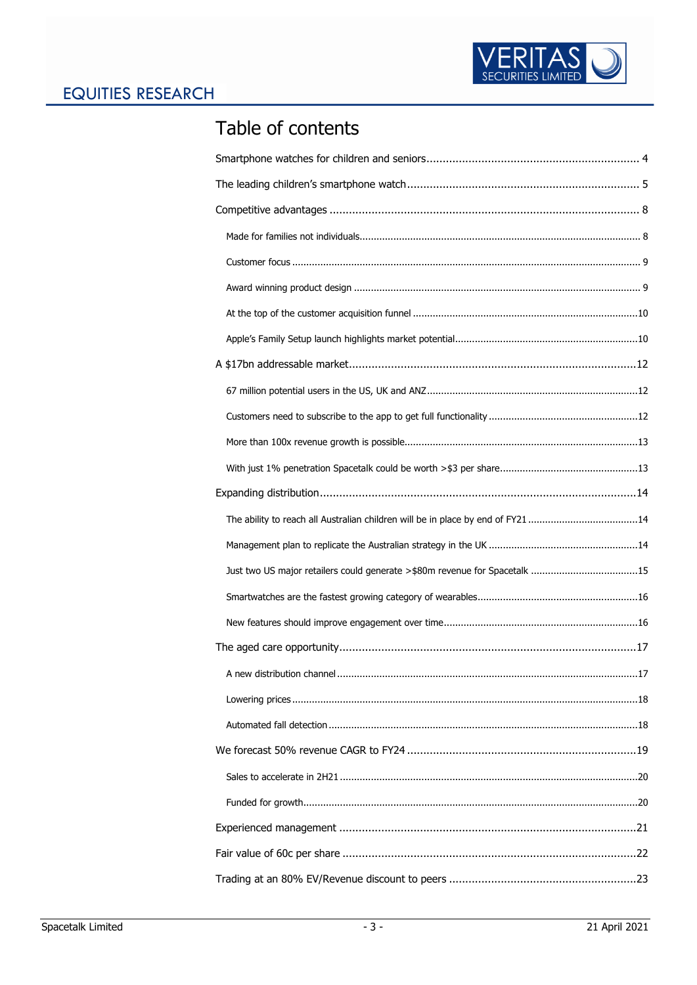

# Table of contents

| The ability to reach all Australian children will be in place by end of FY21 14 |
|---------------------------------------------------------------------------------|
|                                                                                 |
| Just two US major retailers could generate >\$80m revenue for Spacetalk 15      |
|                                                                                 |
|                                                                                 |
|                                                                                 |
|                                                                                 |
|                                                                                 |
|                                                                                 |
|                                                                                 |
|                                                                                 |
|                                                                                 |
|                                                                                 |
|                                                                                 |
|                                                                                 |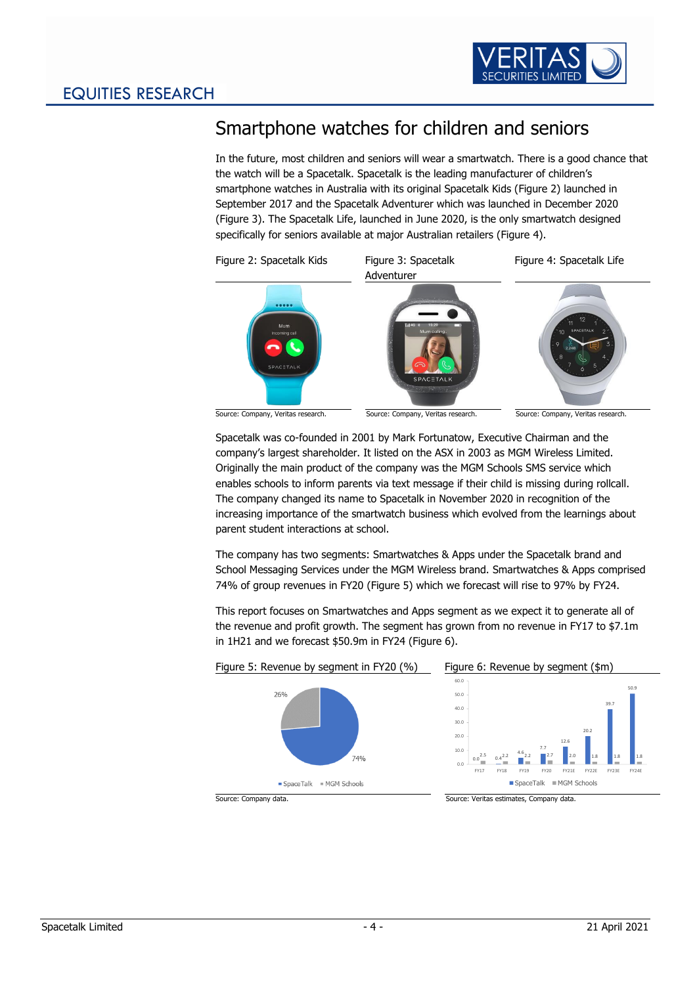<span id="page-4-3"></span>

# <span id="page-4-0"></span>Smartphone watches for children and seniors

In the future, most children and seniors will wear a smartwatch. There is a good chance that the watch will be a Spacetalk. Spacetalk is the leading manufacturer of children's smartphone watches in Australia with its original Spacetalk Kids [\(Figure 2\)](#page-4-1) launched in September 2017 and the Spacetalk Adventurer which was launched in December 2020 [\(Figure 3\)](#page-4-2). The Spacetalk Life, launched in June 2020, is the only smartwatch designed specifically for seniors available at major Australian retailers [\(Figure 4\)](#page-4-3).

<span id="page-4-2"></span><span id="page-4-1"></span>

Spacetalk was co-founded in 2001 by Mark Fortunatow, Executive Chairman and the company's largest shareholder. It listed on the ASX in 2003 as MGM Wireless Limited. Originally the main product of the company was the MGM Schools SMS service which enables schools to inform parents via text message if their child is missing during rollcall. The company changed its name to Spacetalk in November 2020 in recognition of the increasing importance of the smartwatch business which evolved from the learnings about parent student interactions at school.

The company has two segments: Smartwatches & Apps under the Spacetalk brand and School Messaging Services under the MGM Wireless brand. Smartwatches & Apps comprised 74% of group revenues in FY20 [\(Figure 5\)](#page-4-4) which we forecast will rise to 97% by FY24.

<span id="page-4-5"></span>This report focuses on Smartwatches and Apps segment as we expect it to generate all of the revenue and profit growth. The segment has grown from no revenue in FY17 to \$7.1m in 1H21 and we forecast \$50.9m in FY24 [\(Figure 6\)](#page-4-5).

<span id="page-4-4"></span>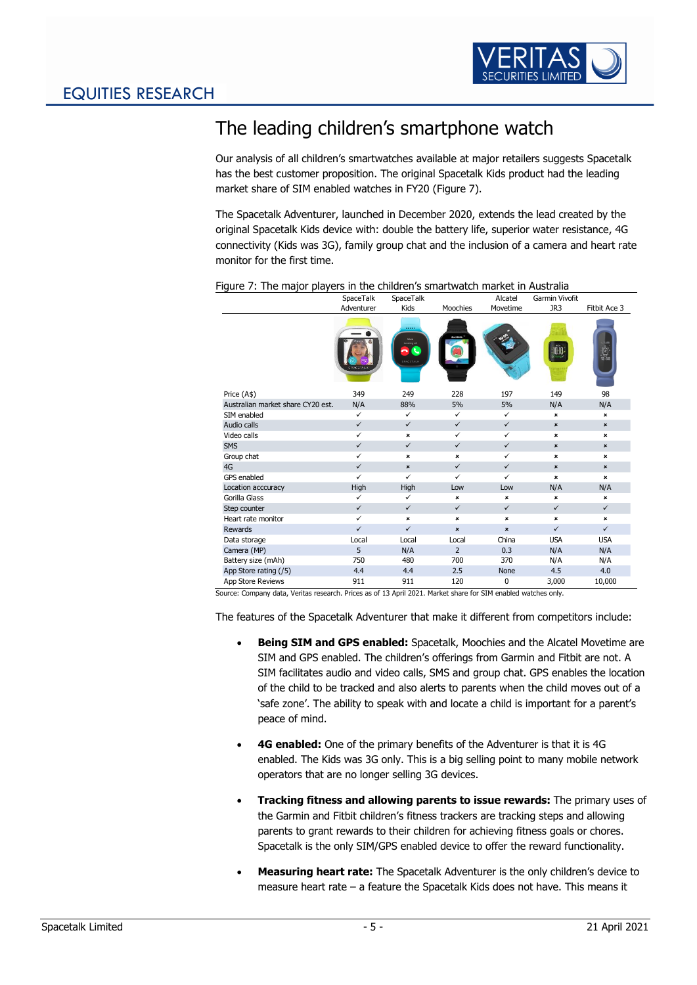

# <span id="page-5-0"></span>The leading children's smartphone watch

Our analysis of all children's smartwatches available at major retailers suggests Spacetalk has the best customer proposition. The original Spacetalk Kids product had the leading market share of SIM enabled watches in FY20 [\(Figure 7\)](#page-5-1).

The Spacetalk Adventurer, launched in December 2020, extends the lead created by the original Spacetalk Kids device with: double the battery life, superior water resistance, 4G connectivity (Kids was 3G), family group chat and the inclusion of a camera and heart rate monitor for the first time.

|                                   | SpaceTalk              | SpaceTalk                                              |                | Alcatel      | Garmin Vivofit |                   |
|-----------------------------------|------------------------|--------------------------------------------------------|----------------|--------------|----------------|-------------------|
|                                   | Adventurer             | Kids                                                   | Moochies       | Movetime     | JR3            | Fitbit Ace 3      |
|                                   | <b><i>FACETALL</i></b> | <br>Mum<br><b>Incoming</b> call<br>ĸ<br>ົ<br>SPACITALE |                |              |                | $\bigcup_{12:58}$ |
| Price (A\$)                       | 349                    | 249                                                    | 228            | 197          | 149            | 98                |
| Australian market share CY20 est. | N/A                    | 88%                                                    | 5%             | 5%           | N/A            | N/A               |
| SIM enabled                       | $\checkmark$           | $\checkmark$                                           | $\checkmark$   | $\checkmark$ | ×              | ×                 |
| Audio calls                       | $\checkmark$           | $\checkmark$                                           | $\checkmark$   | $\checkmark$ | $\pmb{\times}$ | $\pmb{\times}$    |
| Video calls                       | ✓                      | ×                                                      | ✓              | $\checkmark$ | $\pmb{\times}$ | ×                 |
| <b>SMS</b>                        | $\checkmark$           | $\checkmark$                                           | $\checkmark$   | $\checkmark$ | $\pmb{\times}$ | $\pmb{\times}$    |
| Group chat                        | ✓                      | ×                                                      | ×              | $\checkmark$ | ×              | $\pmb{\times}$    |
| 4G                                | $\checkmark$           | $\pmb{\times}$                                         | $\checkmark$   | $\checkmark$ | $\pmb{\times}$ | $\pmb{\times}$    |
| <b>GPS</b> enabled                | ✓                      | $\checkmark$                                           | $\checkmark$   | $\checkmark$ | $\pmb{\times}$ | $\pmb{\times}$    |
| Location acccuracy                | High                   | High                                                   | Low            | Low          | N/A            | N/A               |
| Gorilla Glass                     | ✓                      | $\checkmark$                                           | $\pmb{\times}$ | ×            | $\pmb{\times}$ | ×                 |
| Step counter                      | $\checkmark$           | $\checkmark$                                           | $\checkmark$   | $\checkmark$ | $\checkmark$   | $\checkmark$      |
| Heart rate monitor                | ✓                      | $\pmb{\times}$                                         | ×              | ×            | $\pmb{\times}$ | ×                 |
| <b>Rewards</b>                    | $\checkmark$           | $\checkmark$                                           | $\pmb{\times}$ | ×            | $\checkmark$   | $\checkmark$      |
| Data storage                      | Local                  | Local                                                  | Local          | China        | <b>USA</b>     | <b>USA</b>        |
| Camera (MP)                       | 5                      | N/A                                                    | $\overline{2}$ | 0.3          | N/A            | N/A               |
| Battery size (mAh)                | 750                    | 480                                                    | 700            | 370          | N/A            | N/A               |
| App Store rating (/5)             | 4.4                    | 4.4                                                    | 2.5            | <b>None</b>  | 4.5            | 4.0               |
| App Store Reviews                 | 911                    | 911                                                    | 120            | 0            | 3,000          | 10,000            |

<span id="page-5-1"></span>Figure 7: The major players in the children's smartwatch market in Australia

Source: Company data, Veritas research. Prices as of 13 April 2021. Market share for SIM enabled watches only.

The features of the Spacetalk Adventurer that make it different from competitors include:

- **Being SIM and GPS enabled:** Spacetalk, Moochies and the Alcatel Movetime are SIM and GPS enabled. The children's offerings from Garmin and Fitbit are not. A SIM facilitates audio and video calls, SMS and group chat. GPS enables the location of the child to be tracked and also alerts to parents when the child moves out of a 'safe zone'. The ability to speak with and locate a child is important for a parent's peace of mind.
- **4G enabled:** One of the primary benefits of the Adventurer is that it is 4G enabled. The Kids was 3G only. This is a big selling point to many mobile network operators that are no longer selling 3G devices.
- **Tracking fitness and allowing parents to issue rewards:** The primary uses of the Garmin and Fitbit children's fitness trackers are tracking steps and allowing parents to grant rewards to their children for achieving fitness goals or chores. Spacetalk is the only SIM/GPS enabled device to offer the reward functionality.
- **Measuring heart rate:** The Spacetalk Adventurer is the only children's device to measure heart rate – a feature the Spacetalk Kids does not have. This means it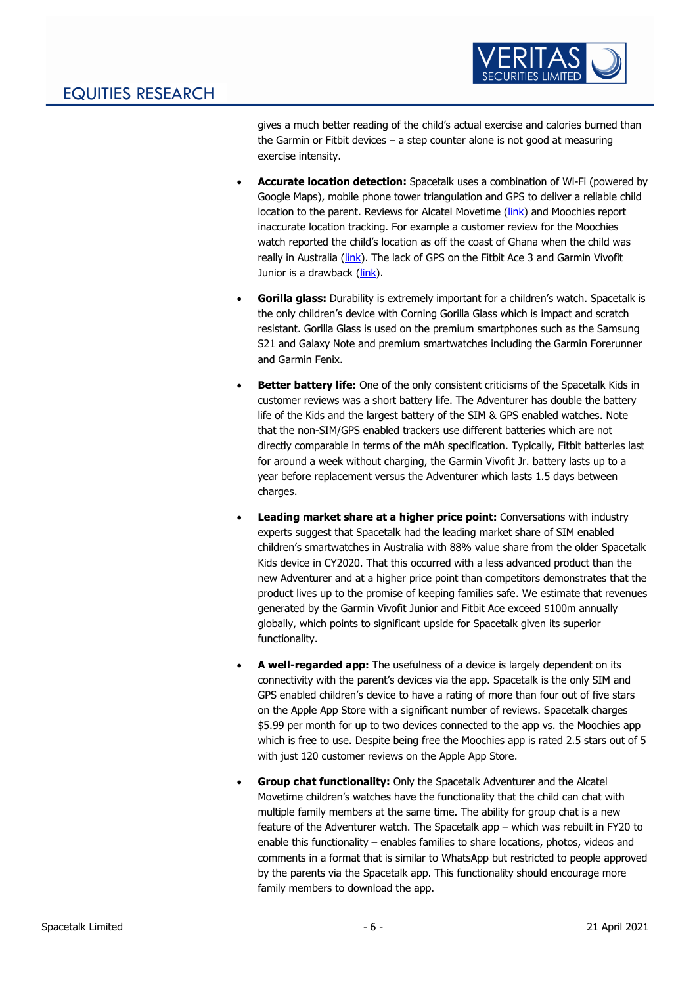

gives a much better reading of the child's actual exercise and calories burned than the Garmin or Fitbit devices – a step counter alone is not good at measuring exercise intensity.

- **Accurate location detection:** Spacetalk uses a combination of Wi-Fi (powered by Google Maps), mobile phone tower triangulation and GPS to deliver a reliable child location to the parent. Reviews for Alcatel Movetime [\(link\)](https://www.finder.com.au/alcatel-movetime-family-watch-review) and Moochies report inaccurate location tracking. For example a customer review for the Moochies watch reported the child's location as off the coast of Ghana when the child was really in Australia [\(link\)](https://www.productreview.com.au/listings/moochies#:~:text=In%20regards%20to%20the%20GPS,Frequency%20setting%2C%20the%20calling%2Fmessaging). The lack of GPS on the Fitbit Ace 3 and Garmin Vivofit Junior is a drawback [\(link\)](https://www.wareable.com/fitbit/fitbit-ace-3-kids-tracker-launches-8340#:~:text=The%20Ace%203%20puts%20move,of%20active%20time%20per%20day.&text=There).
- **Gorilla glass:** Durability is extremely important for a children's watch. Spacetalk is the only children's device with Corning Gorilla Glass which is impact and scratch resistant. Gorilla Glass is used on the premium smartphones such as the Samsung S21 and Galaxy Note and premium smartwatches including the Garmin Forerunner and Garmin Fenix.
- **Better battery life:** One of the only consistent criticisms of the Spacetalk Kids in customer reviews was a short battery life. The Adventurer has double the battery life of the Kids and the largest battery of the SIM & GPS enabled watches. Note that the non-SIM/GPS enabled trackers use different batteries which are not directly comparable in terms of the mAh specification. Typically, Fitbit batteries last for around a week without charging, the Garmin Vivofit Jr. battery lasts up to a year before replacement versus the Adventurer which lasts 1.5 days between charges.
- **Leading market share at a higher price point:** Conversations with industry experts suggest that Spacetalk had the leading market share of SIM enabled children's smartwatches in Australia with 88% value share from the older Spacetalk Kids device in CY2020. That this occurred with a less advanced product than the new Adventurer and at a higher price point than competitors demonstrates that the product lives up to the promise of keeping families safe. We estimate that revenues generated by the Garmin Vivofit Junior and Fitbit Ace exceed \$100m annually globally, which points to significant upside for Spacetalk given its superior functionality.
- **A well-regarded app:** The usefulness of a device is largely dependent on its connectivity with the parent's devices via the app. Spacetalk is the only SIM and GPS enabled children's device to have a rating of more than four out of five stars on the Apple App Store with a significant number of reviews. Spacetalk charges \$5.99 per month for up to two devices connected to the app vs. the Moochies app which is free to use. Despite being free the Moochies app is rated 2.5 stars out of 5 with just 120 customer reviews on the Apple App Store.
- **Group chat functionality:** Only the Spacetalk Adventurer and the Alcatel Movetime children's watches have the functionality that the child can chat with multiple family members at the same time. The ability for group chat is a new feature of the Adventurer watch. The Spacetalk app – which was rebuilt in FY20 to enable this functionality – enables families to share locations, photos, videos and comments in a format that is similar to WhatsApp but restricted to people approved by the parents via the Spacetalk app. This functionality should encourage more family members to download the app.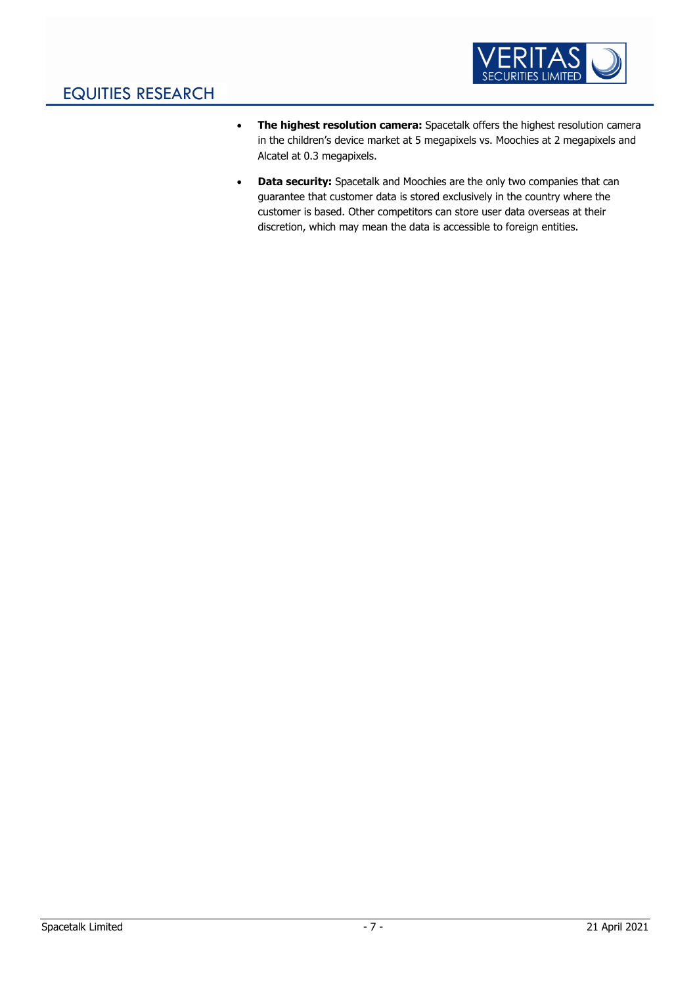

- **The highest resolution camera:** Spacetalk offers the highest resolution camera in the children's device market at 5 megapixels vs. Moochies at 2 megapixels and Alcatel at 0.3 megapixels.
- **Data security:** Spacetalk and Moochies are the only two companies that can guarantee that customer data is stored exclusively in the country where the customer is based. Other competitors can store user data overseas at their discretion, which may mean the data is accessible to foreign entities.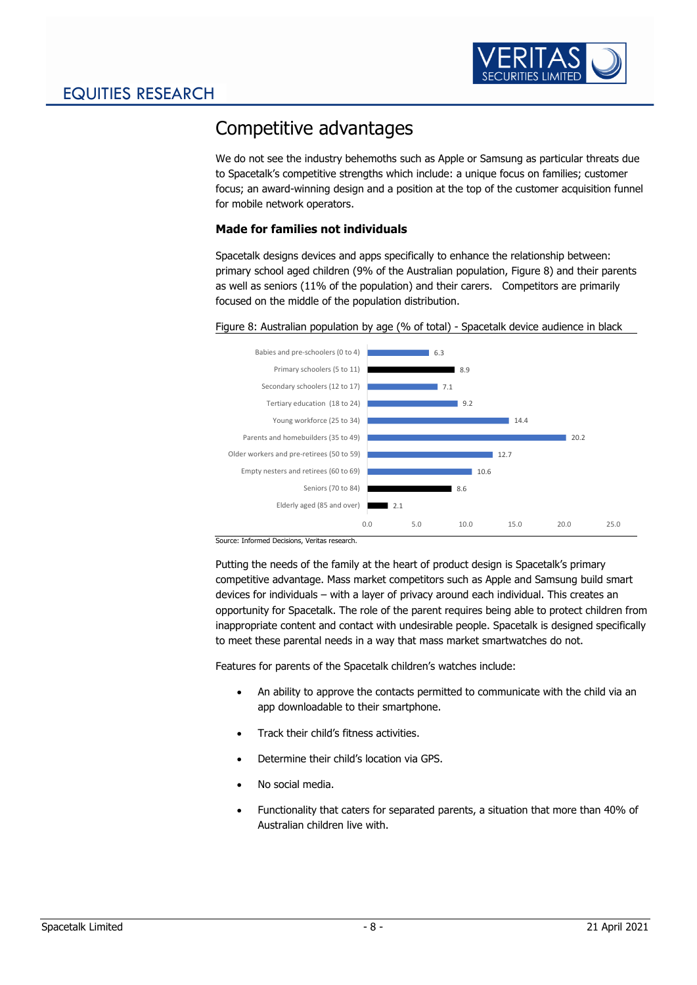

## <span id="page-8-0"></span>Competitive advantages

We do not see the industry behemoths such as Apple or Samsung as particular threats due to Spacetalk's competitive strengths which include: a unique focus on families; customer focus; an award-winning design and a position at the top of the customer acquisition funnel for mobile network operators.

### <span id="page-8-1"></span>**Made for families not individuals**

Spacetalk designs devices and apps specifically to enhance the relationship between: primary school aged children (9% of the Australian population, [Figure 8\)](#page-8-2) and their parents as well as seniors (11% of the population) and their carers. Competitors are primarily focused on the middle of the population distribution.

#### <span id="page-8-2"></span>Figure 8: Australian population by age (% of total) - Spacetalk device audience in black



Source: Informed Decisions, Veritas research.

Putting the needs of the family at the heart of product design is Spacetalk's primary competitive advantage. Mass market competitors such as Apple and Samsung build smart devices for individuals – with a layer of privacy around each individual. This creates an opportunity for Spacetalk. The role of the parent requires being able to protect children from inappropriate content and contact with undesirable people. Spacetalk is designed specifically to meet these parental needs in a way that mass market smartwatches do not.

Features for parents of the Spacetalk children's watches include:

- An ability to approve the contacts permitted to communicate with the child via an app downloadable to their smartphone.
- Track their child's fitness activities.
- Determine their child's location via GPS.
- No social media.
- Functionality that caters for separated parents, a situation that more than 40% of Australian children live with.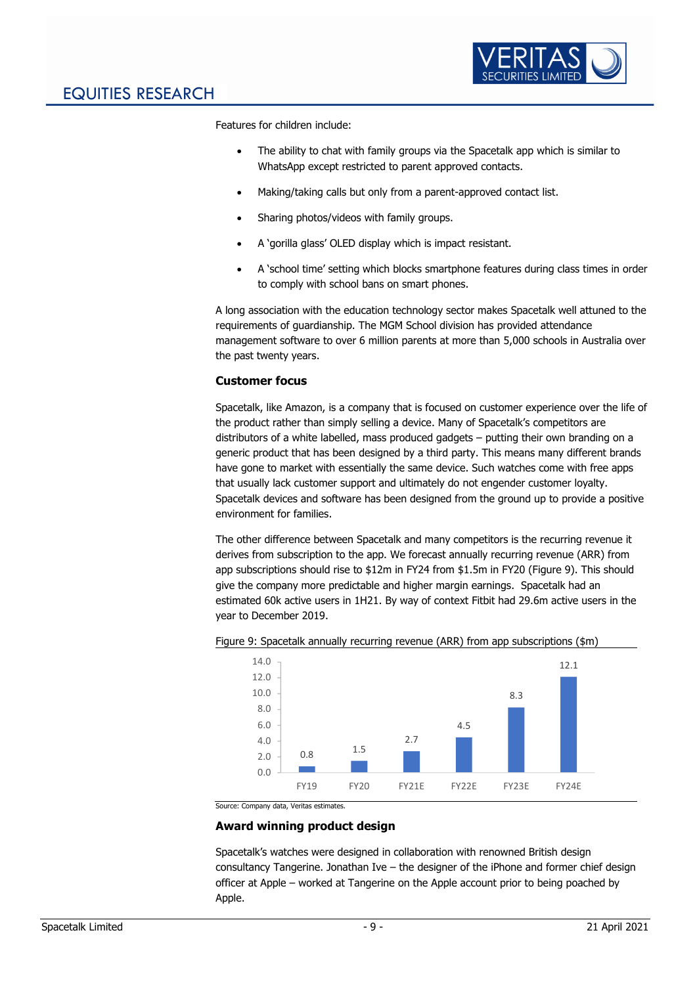

Features for children include:

- The ability to chat with family groups via the Spacetalk app which is similar to WhatsApp except restricted to parent approved contacts.
- Making/taking calls but only from a parent-approved contact list.
- Sharing photos/videos with family groups.
- A 'gorilla glass' OLED display which is impact resistant.
- A 'school time' setting which blocks smartphone features during class times in order to comply with school bans on smart phones.

A long association with the education technology sector makes Spacetalk well attuned to the requirements of guardianship. The MGM School division has provided attendance management software to over 6 million parents at more than 5,000 schools in Australia over the past twenty years.

### <span id="page-9-0"></span>**Customer focus**

Spacetalk, like Amazon, is a company that is focused on customer experience over the life of the product rather than simply selling a device. Many of Spacetalk's competitors are distributors of a white labelled, mass produced gadgets – putting their own branding on a generic product that has been designed by a third party. This means many different brands have gone to market with essentially the same device. Such watches come with free apps that usually lack customer support and ultimately do not engender customer loyalty. Spacetalk devices and software has been designed from the ground up to provide a positive environment for families.

The other difference between Spacetalk and many competitors is the recurring revenue it derives from subscription to the app. We forecast annually recurring revenue (ARR) from app subscriptions should rise to \$12m in FY24 from \$1.5m in FY20 [\(Figure 9\)](#page-9-2). This should give the company more predictable and higher margin earnings. Spacetalk had an estimated 60k active users in 1H21. By way of context Fitbit had 29.6m active users in the year to December 2019.



<span id="page-9-2"></span>Figure 9: Spacetalk annually recurring revenue (ARR) from app subscriptions (\$m)

Source: Company data, Veritas estimates.

### <span id="page-9-1"></span>**Award winning product design**

Spacetalk's watches were designed in collaboration with renowned British design consultancy Tangerine. Jonathan Ive  $-$  the designer of the iPhone and former chief design officer at Apple – worked at Tangerine on the Apple account prior to being poached by Apple.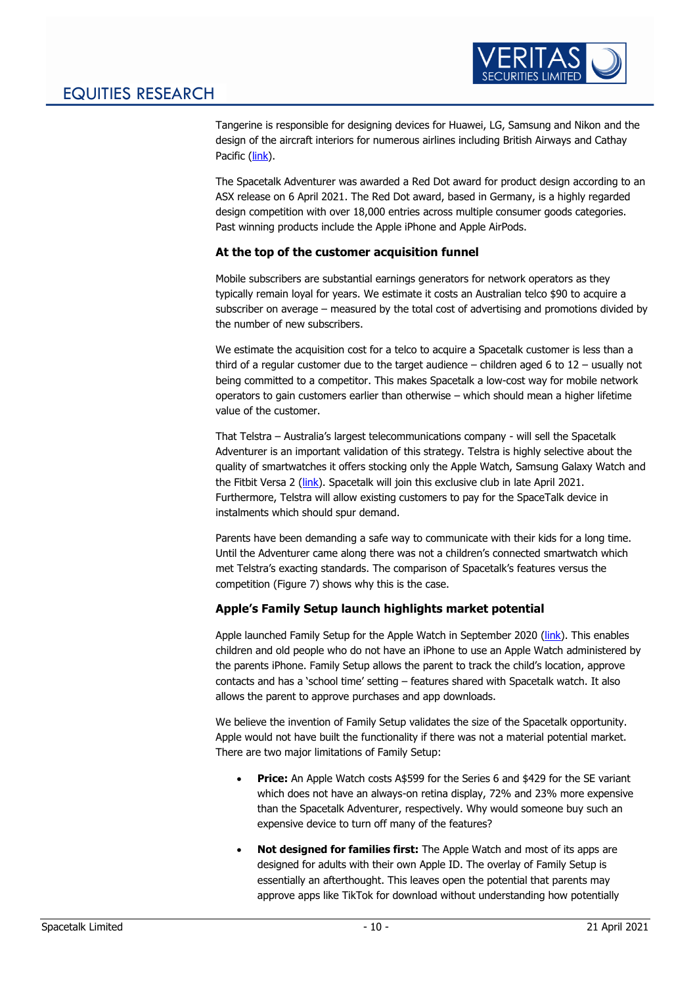

Tangerine is responsible for designing devices for Huawei, LG, Samsung and Nikon and the design of the aircraft interiors for numerous airlines including British Airways and Cathay Pacific [\(link\)](https://tangerine.net/en/our-work/).

The Spacetalk Adventurer was awarded a Red Dot award for product design according to an ASX release on 6 April 2021. The Red Dot award, based in Germany, is a highly regarded design competition with over 18,000 entries across multiple consumer goods categories. Past winning products include the Apple iPhone and Apple AirPods.

### <span id="page-10-0"></span>**At the top of the customer acquisition funnel**

Mobile subscribers are substantial earnings generators for network operators as they typically remain loyal for years. We estimate it costs an Australian telco \$90 to acquire a subscriber on average – measured by the total cost of advertising and promotions divided by the number of new subscribers.

We estimate the acquisition cost for a telco to acquire a Spacetalk customer is less than a third of a regular customer due to the target audience – children aged 6 to  $12$  – usually not being committed to a competitor. This makes Spacetalk a low-cost way for mobile network operators to gain customers earlier than otherwise – which should mean a higher lifetime value of the customer.

That Telstra – Australia's largest telecommunications company - will sell the Spacetalk Adventurer is an important validation of this strategy. Telstra is highly selective about the quality of smartwatches it offers stocking only the Apple Watch, Samsung Galaxy Watch and the Fitbit Versa 2 [\(link\)](https://www.telstra.com.au/accessories). Spacetalk will join this exclusive club in late April 2021. Furthermore, Telstra will allow existing customers to pay for the SpaceTalk device in instalments which should spur demand.

Parents have been demanding a safe way to communicate with their kids for a long time. Until the Adventurer came along there was not a children's connected smartwatch which met Telstra's exacting standards. The comparison of Spacetalk's features versus the competition [\(Figure 7\)](#page-5-1) shows why this is the case.

### <span id="page-10-1"></span>**Apple's Family Setup launch highlights market potential**

Apple launched Family Setup for the Apple Watch in September 2020 [\(link\)](https://www.apple.com/newsroom/2020/09/apple-extends-the-apple-watch-experience-to-the-entire-family/). This enables children and old people who do not have an iPhone to use an Apple Watch administered by the parents iPhone. Family Setup allows the parent to track the child's location, approve contacts and has a 'school time' setting – features shared with Spacetalk watch. It also allows the parent to approve purchases and app downloads.

We believe the invention of Family Setup validates the size of the Spacetalk opportunity. Apple would not have built the functionality if there was not a material potential market. There are two major limitations of Family Setup:

- **Price:** An Apple Watch costs A\$599 for the Series 6 and \$429 for the SE variant which does not have an always-on retina display, 72% and 23% more expensive than the Spacetalk Adventurer, respectively. Why would someone buy such an expensive device to turn off many of the features?
- **Not designed for families first:** The Apple Watch and most of its apps are designed for adults with their own Apple ID. The overlay of Family Setup is essentially an afterthought. This leaves open the potential that parents may approve apps like TikTok for download without understanding how potentially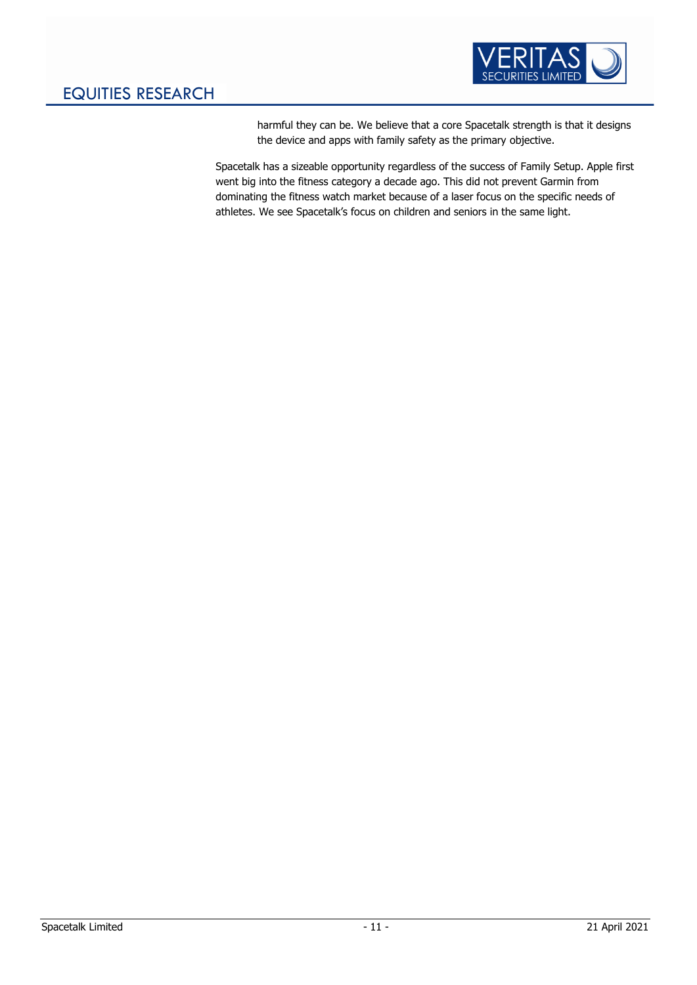

harmful they can be. We believe that a core Spacetalk strength is that it designs the device and apps with family safety as the primary objective.

Spacetalk has a sizeable opportunity regardless of the success of Family Setup. Apple first went big into the fitness category a decade ago. This did not prevent Garmin from dominating the fitness watch market because of a laser focus on the specific needs of athletes. We see Spacetalk's focus on children and seniors in the same light.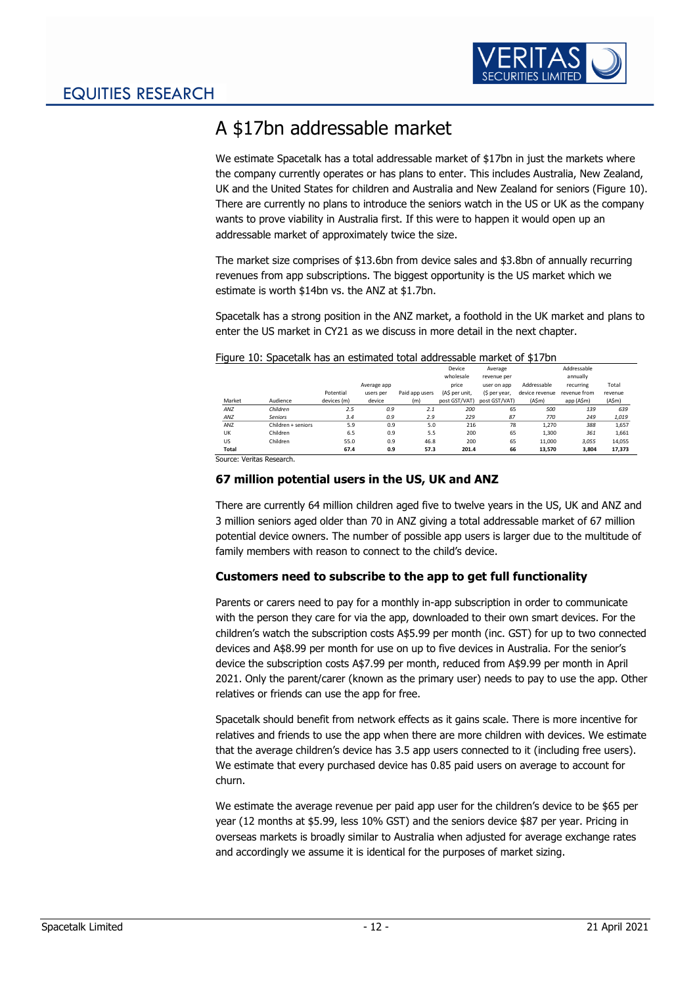

# <span id="page-12-0"></span>A \$17bn addressable market

We estimate Spacetalk has a total addressable market of \$17bn in just the markets where the company currently operates or has plans to enter. This includes Australia, New Zealand, UK and the United States for children and Australia and New Zealand for seniors [\(Figure 10\)](#page-12-3). There are currently no plans to introduce the seniors watch in the US or UK as the company wants to prove viability in Australia first. If this were to happen it would open up an addressable market of approximately twice the size.

The market size comprises of \$13.6bn from device sales and \$3.8bn of annually recurring revenues from app subscriptions. The biggest opportunity is the US market which we estimate is worth \$14bn vs. the ANZ at \$1.7bn.

Spacetalk has a strong position in the ANZ market, a foothold in the UK market and plans to enter the US market in CY21 as we discuss in more detail in the next chapter.

|        |                    |             |             |                | Device         | Average       |                  | Addressable  |         |
|--------|--------------------|-------------|-------------|----------------|----------------|---------------|------------------|--------------|---------|
|        |                    |             |             |                | wholesale      | revenue per   |                  | annually     |         |
|        |                    |             | Average app |                | price          | user on app   | Addressable      | recurring    | Total   |
|        |                    | Potential   | users per   | Paid app users | (A\$ per unit, | (\$ per year, | device revenue   | revenue from | revenue |
| Market | Audience           | devices (m) | device      | (m)            | post GST/VAT)  | post GST/VAT) | $(A\mathsf{Sm})$ | app (A\$m)   | (A\$m)  |
| ANZ    | Children           | 2.5         | 0.9         | 2.1            | 200            | 65            | 500              | 139          | 639     |
| ANZ    | Seniors            | 3.4         | 0.9         | 2.9            | 229            | 87            | 770              | 249          | 1,019   |
| ANZ    | Children + seniors | 5.9         | 0.9         | 5.0            | 216            | 78            | 1.270            | 388          | 1,657   |
| UK     | Children           | 6.5         | 0.9         | 5.5            | 200            | 65            | 1,300            | 361          | 1,661   |
| US     | Children           | 55.0        | 0.9         | 46.8           | 200            | 65            | 11,000           | 3,055        | 14,055  |
| Total  |                    | 67.4        | 0.9         | 57.3           | 201.4          | 66            | 13,570           | 3,804        | 17,373  |

#### <span id="page-12-3"></span>Figure 10: Spacetalk has an estimated total addressable market of \$17bn

Source: Veritas Research.

### <span id="page-12-1"></span>**67 million potential users in the US, UK and ANZ**

There are currently 64 million children aged five to twelve years in the US, UK and ANZ and 3 million seniors aged older than 70 in ANZ giving a total addressable market of 67 million potential device owners. The number of possible app users is larger due to the multitude of family members with reason to connect to the child's device.

### <span id="page-12-2"></span>**Customers need to subscribe to the app to get full functionality**

Parents or carers need to pay for a monthly in-app subscription in order to communicate with the person they care for via the app, downloaded to their own smart devices. For the children's watch the subscription costs A\$5.99 per month (inc. GST) for up to two connected devices and A\$8.99 per month for use on up to five devices in Australia. For the senior's device the subscription costs A\$7.99 per month, reduced from A\$9.99 per month in April 2021. Only the parent/carer (known as the primary user) needs to pay to use the app. Other relatives or friends can use the app for free.

Spacetalk should benefit from network effects as it gains scale. There is more incentive for relatives and friends to use the app when there are more children with devices. We estimate that the average children's device has 3.5 app users connected to it (including free users). We estimate that every purchased device has 0.85 paid users on average to account for churn.

We estimate the average revenue per paid app user for the children's device to be \$65 per year (12 months at \$5.99, less 10% GST) and the seniors device \$87 per year. Pricing in overseas markets is broadly similar to Australia when adjusted for average exchange rates and accordingly we assume it is identical for the purposes of market sizing.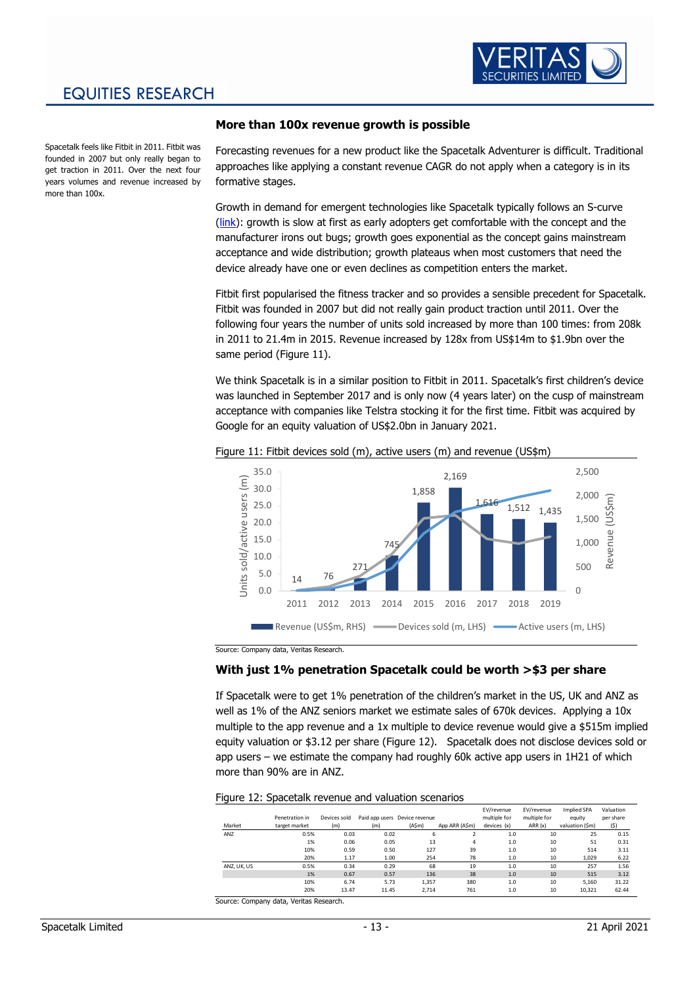

### EQUITIES RESEARCH

Spacetalk feels like Fitbit in 2011. Fitbit was founded in 2007 but only really began to get traction in 2011. Over the next four years volumes and revenue increased by more than 100x.

### <span id="page-13-0"></span>**More than 100x revenue growth is possible**

Forecasting revenues for a new product like the Spacetalk Adventurer is difficult. Traditional approaches like applying a constant revenue CAGR do not apply when a category is in its formative stages.

Growth in demand for emergent technologies like Spacetalk typically follows an S-curve [\(link\)](https://en.wikipedia.org/wiki/Technology_life_cycle): growth is slow at first as early adopters get comfortable with the concept and the manufacturer irons out bugs; growth goes exponential as the concept gains mainstream acceptance and wide distribution; growth plateaus when most customers that need the device already have one or even declines as competition enters the market.

Fitbit first popularised the fitness tracker and so provides a sensible precedent for Spacetalk. Fitbit was founded in 2007 but did not really gain product traction until 2011. Over the following four years the number of units sold increased by more than 100 times: from 208k in 2011 to 21.4m in 2015. Revenue increased by 128x from US\$14m to \$1.9bn over the same period [\(Figure 11\)](#page-13-2).

We think Spacetalk is in a similar position to Fitbit in 2011. Spacetalk's first children's device was launched in September 2017 and is only now (4 years later) on the cusp of mainstream acceptance with companies like Telstra stocking it for the first time. Fitbit was acquired by Google for an equity valuation of US\$2.0bn in January 2021.



<span id="page-13-2"></span>Figure 11: Fitbit devices sold (m), active users (m) and revenue (US\$m)

Source: Company data, Veritas Research.

### <span id="page-13-1"></span>**With just 1% penetration Spacetalk could be worth >\$3 per share**

If Spacetalk were to get 1% penetration of the children's market in the US, UK and ANZ as well as 1% of the ANZ seniors market we estimate sales of 670k devices. Applying a 10x multiple to the app revenue and a 1x multiple to device revenue would give a \$515m implied equity valuation or \$3.12 per share [\(Figure 12\)](#page-13-3). Spacetalk does not disclose devices sold or app users – we estimate the company had roughly 60k active app users in 1H21 of which more than 90% are in ANZ.

<span id="page-13-3"></span>Figure 12: Spacetalk revenue and valuation scenarios

|             |                |              |       |                               |                | EV/revenue   | EV/revenue   | Implied SPA    | Valuation |
|-------------|----------------|--------------|-------|-------------------------------|----------------|--------------|--------------|----------------|-----------|
|             | Penetration in | Devices sold |       | Paid app users Device revenue |                | multiple for | multiple for | equity         | per share |
| Market      | target market  | (m)          | (m)   | $(A\mathsf{Sm})$              | App ARR (A\$m) | devices (x)  | ARR(x)       | valuation (Sm) | (\$)      |
| ANZ         | 0.5%           | 0.03         | 0.02  | 6                             |                | 1.0          | 10           | 25             | 0.15      |
|             | 1%             | 0.06         | 0.05  | 13                            | 4              | 1.0          | 10           | 51             | 0.31      |
|             | 10%            | 0.59         | 0.50  | 127                           | 39             | 1.0          | 10           | 514            | 3.11      |
|             | 20%            | 1.17         | 1.00  | 254                           | 78             | 1.0          | 10           | 1,029          | 6.22      |
| ANZ, UK, US | 0.5%           | 0.34         | 0.29  | 68                            | 19             | 1.0          | 10           | 257            | 1.56      |
|             | 1%             | 0.67         | 0.57  | 136                           | 38             | 1.0          | 10           | 515            | 3.12      |
|             | 10%            | 6.74         | 5.73  | 1.357                         | 380            | 1.0          | 10           | 5.160          | 31.22     |
|             | 20%            | 13.47        | 11.45 | 2.714                         | 761            | 1.0          | 10           | 10.321         | 62.44     |

Source: Company data, Veritas Research.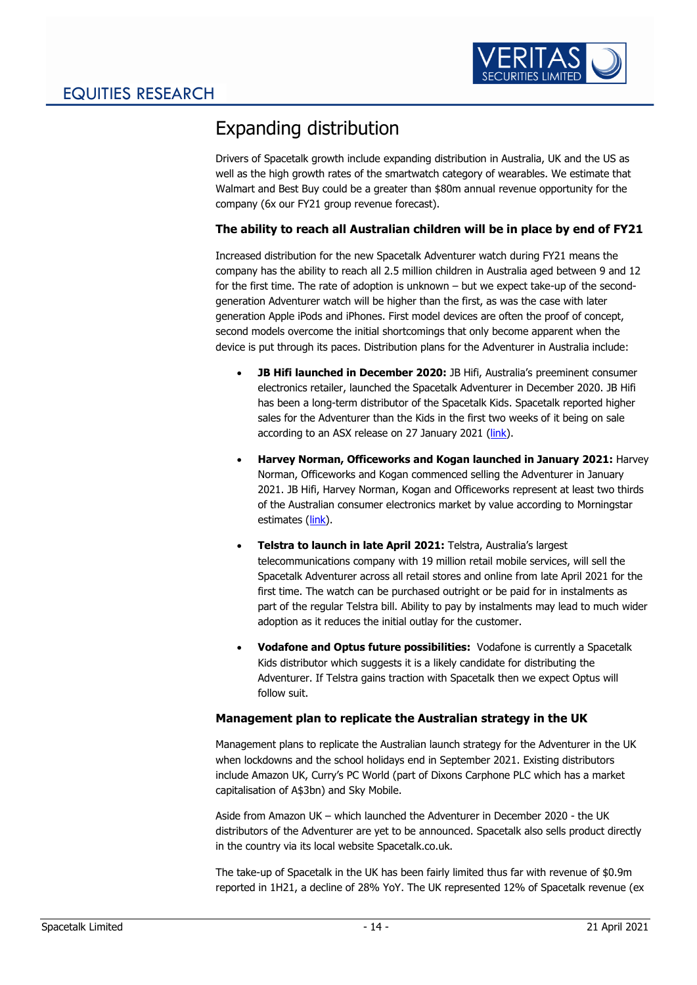

# <span id="page-14-0"></span>Expanding distribution

Drivers of Spacetalk growth include expanding distribution in Australia, UK and the US as well as the high growth rates of the smartwatch category of wearables. We estimate that Walmart and Best Buy could be a greater than \$80m annual revenue opportunity for the company (6x our FY21 group revenue forecast).

### <span id="page-14-1"></span>**The ability to reach all Australian children will be in place by end of FY21**

Increased distribution for the new Spacetalk Adventurer watch during FY21 means the company has the ability to reach all 2.5 million children in Australia aged between 9 and 12 for the first time. The rate of adoption is unknown – but we expect take-up of the secondgeneration Adventurer watch will be higher than the first, as was the case with later generation Apple iPods and iPhones. First model devices are often the proof of concept, second models overcome the initial shortcomings that only become apparent when the device is put through its paces. Distribution plans for the Adventurer in Australia include:

- **JB Hifi launched in December 2020:** JB Hifi, Australia's preeminent consumer electronics retailer, launched the Spacetalk Adventurer in December 2020. JB Hifi has been a long-term distributor of the Spacetalk Kids. Spacetalk reported higher sales for the Adventurer than the Kids in the first two weeks of it being on sale according to an ASX release on 27 January 2021 [\(link\)](https://www.theaustralian.com.au/business/telstras-smartwatch-deal-transformational-for-spacetalk/news-story/00f9269a7a358044ccf669123d76c8fd).
- **Harvey Norman, Officeworks and Kogan launched in January 2021:** Harvey Norman, Officeworks and Kogan commenced selling the Adventurer in January 2021. JB Hifi, Harvey Norman, Kogan and Officeworks represent at least two thirds of the Australian consumer electronics market by value according to Morningstar estimates [\(link\)](https://www.morningstar.com.au/stocks/article/amazon-set-to-cut-short-boom-times-for-aussie/211253).
- **Telstra to launch in late April 2021:** Telstra, Australia's largest telecommunications company with 19 million retail mobile services, will sell the Spacetalk Adventurer across all retail stores and online from late April 2021 for the first time. The watch can be purchased outright or be paid for in instalments as part of the regular Telstra bill. Ability to pay by instalments may lead to much wider adoption as it reduces the initial outlay for the customer.
- **Vodafone and Optus future possibilities:** Vodafone is currently a Spacetalk Kids distributor which suggests it is a likely candidate for distributing the Adventurer. If Telstra gains traction with Spacetalk then we expect Optus will follow suit.

### <span id="page-14-2"></span>**Management plan to replicate the Australian strategy in the UK**

Management plans to replicate the Australian launch strategy for the Adventurer in the UK when lockdowns and the school holidays end in September 2021. Existing distributors include Amazon UK, Curry's PC World (part of Dixons Carphone PLC which has a market capitalisation of A\$3bn) and Sky Mobile.

Aside from Amazon UK – which launched the Adventurer in December 2020 - the UK distributors of the Adventurer are yet to be announced. Spacetalk also sells product directly in the country via its local website Spacetalk.co.uk.

The take-up of Spacetalk in the UK has been fairly limited thus far with revenue of \$0.9m reported in 1H21, a decline of 28% YoY. The UK represented 12% of Spacetalk revenue (ex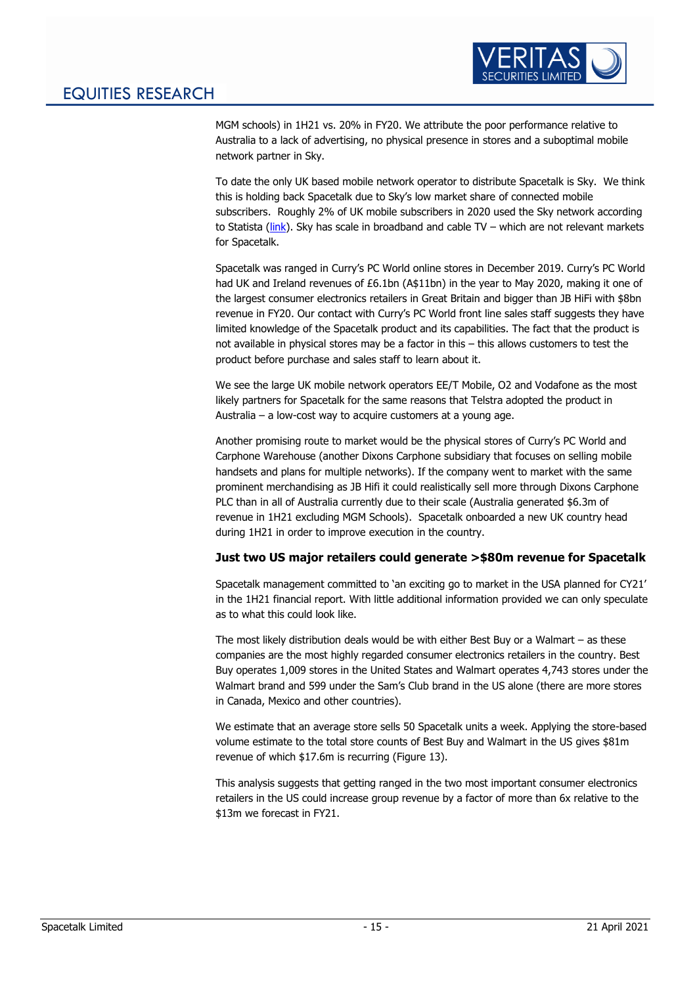

MGM schools) in 1H21 vs. 20% in FY20. We attribute the poor performance relative to Australia to a lack of advertising, no physical presence in stores and a suboptimal mobile network partner in Sky.

To date the only UK based mobile network operator to distribute Spacetalk is Sky. We think this is holding back Spacetalk due to Sky's low market share of connected mobile subscribers. Roughly 2% of UK mobile subscribers in 2020 used the Sky network according to Statista [\(link\)](https://www.statista.com/statistics/387202/most-used-mobile-networks-uk/). Sky has scale in broadband and cable TV – which are not relevant markets for Spacetalk.

Spacetalk was ranged in Curry's PC World online stores in December 2019. Curry's PC World had UK and Ireland revenues of £6.1bn (A\$11bn) in the year to May 2020, making it one of the largest consumer electronics retailers in Great Britain and bigger than JB HiFi with \$8bn revenue in FY20. Our contact with Curry's PC World front line sales staff suggests they have limited knowledge of the Spacetalk product and its capabilities. The fact that the product is not available in physical stores may be a factor in this – this allows customers to test the product before purchase and sales staff to learn about it.

We see the large UK mobile network operators EE/T Mobile, O2 and Vodafone as the most likely partners for Spacetalk for the same reasons that Telstra adopted the product in Australia – a low-cost way to acquire customers at a young age.

Another promising route to market would be the physical stores of Curry's PC World and Carphone Warehouse (another Dixons Carphone subsidiary that focuses on selling mobile handsets and plans for multiple networks). If the company went to market with the same prominent merchandising as JB Hifi it could realistically sell more through Dixons Carphone PLC than in all of Australia currently due to their scale (Australia generated \$6.3m of revenue in 1H21 excluding MGM Schools). Spacetalk onboarded a new UK country head during 1H21 in order to improve execution in the country.

### <span id="page-15-0"></span>**Just two US major retailers could generate >\$80m revenue for Spacetalk**

Spacetalk management committed to 'an exciting go to market in the USA planned for CY21' in the 1H21 financial report. With little additional information provided we can only speculate as to what this could look like.

The most likely distribution deals would be with either Best Buy or a Walmart – as these companies are the most highly regarded consumer electronics retailers in the country. Best Buy operates 1,009 stores in the United States and Walmart operates 4,743 stores under the Walmart brand and 599 under the Sam's Club brand in the US alone (there are more stores in Canada, Mexico and other countries).

We estimate that an average store sells 50 Spacetalk units a week. Applying the store-based volume estimate to the total store counts of Best Buy and Walmart in the US gives \$81m revenue of which \$17.6m is recurring (Figure 13).

This analysis suggests that getting ranged in the two most important consumer electronics retailers in the US could increase group revenue by a factor of more than 6x relative to the \$13m we forecast in FY21.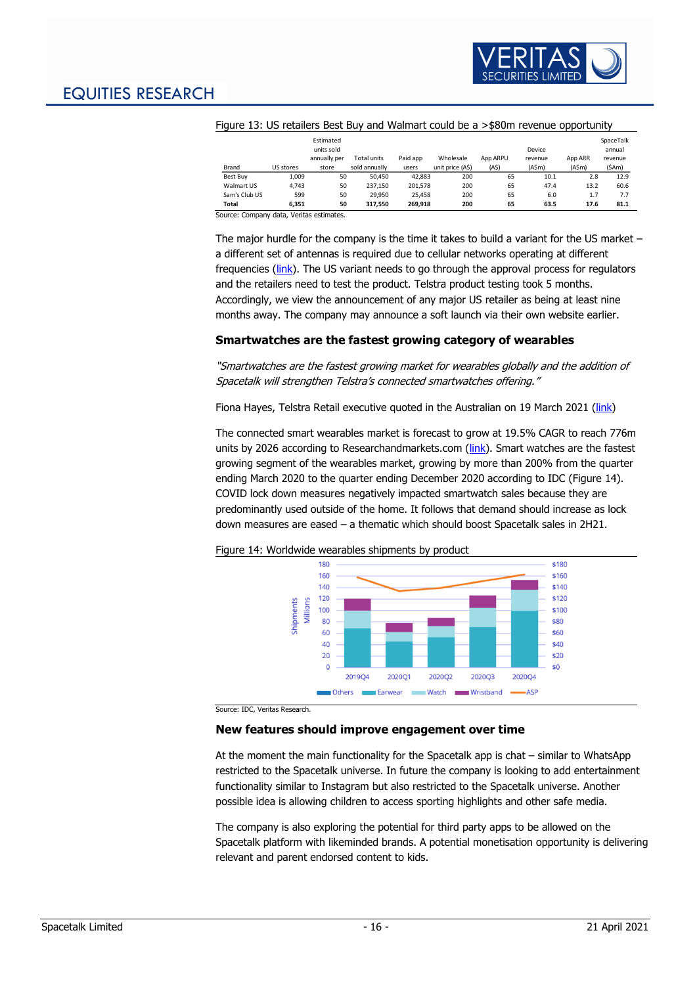

| Figure 13: US retailers Best Buy and Walmart could be a > \$80m revenue opportunity |  |
|-------------------------------------------------------------------------------------|--|
|                                                                                     |  |

|               |           | Estimated<br>units sold |               |          |                  |          | Device  |                  | SpaceTalk<br>annual |
|---------------|-----------|-------------------------|---------------|----------|------------------|----------|---------|------------------|---------------------|
|               |           | annually per            | Total units   | Paid app | Wholesale        | App ARPU | revenue | App ARR          | revenue             |
| Brand         | US stores | store                   | sold annually | users    | unit price (A\$) | (A\$)    | (A\$m)  | $(A\mathsf{Sm})$ | (SAm)               |
| Best Buv      | 1,009     | 50                      | 50.450        | 42,883   | 200              | 65       | 10.1    | 2.8              | 12.9                |
| Walmart US    | 4.743     | 50                      | 237.150       | 201.578  | 200              | 65       | 47.4    | 13.2             | 60.6                |
| Sam's Club US | 599       | 50                      | 29.950        | 25.458   | 200              | 65       | 6.0     | 1.7              | 7.7                 |
| Total         | 6.351     | 50                      | 317.550       | 269.918  | 200              | 65       | 63.5    | 17.6             | 81.1                |

Source: Company data, Veritas estimates.

The major hurdle for the company is the time it takes to build a variant for the US market – a different set of antennas is required due to cellular networks operating at different frequencies [\(link\)](https://electronics.howstuffworks.com/gadgets/travel/global-cell-phones.htm). The US variant needs to go through the approval process for regulators and the retailers need to test the product. Telstra product testing took 5 months. Accordingly, we view the announcement of any major US retailer as being at least nine months away. The company may announce a soft launch via their own website earlier.

### <span id="page-16-0"></span>**Smartwatches are the fastest growing category of wearables**

"Smartwatches are the fastest growing market for wearables globally and the addition of Spacetalk will strengthen Telstra's connected smartwatches offering."

Fiona Hayes, Telstra Retail executive quoted in the Australian on 19 March 2021 [\(link\)](https://www.theaustralian.com.au/business/telstras-smartwatch-deal-transformational-for-spacetalk/news-story/00f9269a7a358044ccf669123d76c8fd)

The connected smart wearables market is forecast to grow at 19.5% CAGR to reach 776m units by 2026 according to Researchandmarkets.com [\(link\)](https://www.businesswire.com/news/home/20210208005342/en/Global-Smart-Wearable-Market---Market-to-Grow-by-19.48-from-2021---2026---ResearchAndMarkets.com). Smart watches are the fastest growing segment of the wearables market, growing by more than 200% from the quarter ending March 2020 to the quarter ending December 2020 according to IDC [\(Figure 14\)](#page-16-2). COVID lock down measures negatively impacted smartwatch sales because they are predominantly used outside of the home. It follows that demand should increase as lock down measures are eased – a thematic which should boost Spacetalk sales in 2H21.

<span id="page-16-2"></span>



Source: IDC, Veritas Research.

### <span id="page-16-1"></span>**New features should improve engagement over time**

At the moment the main functionality for the Spacetalk app is chat – similar to WhatsApp restricted to the Spacetalk universe. In future the company is looking to add entertainment functionality similar to Instagram but also restricted to the Spacetalk universe. Another possible idea is allowing children to access sporting highlights and other safe media.

The company is also exploring the potential for third party apps to be allowed on the Spacetalk platform with likeminded brands. A potential monetisation opportunity is delivering relevant and parent endorsed content to kids.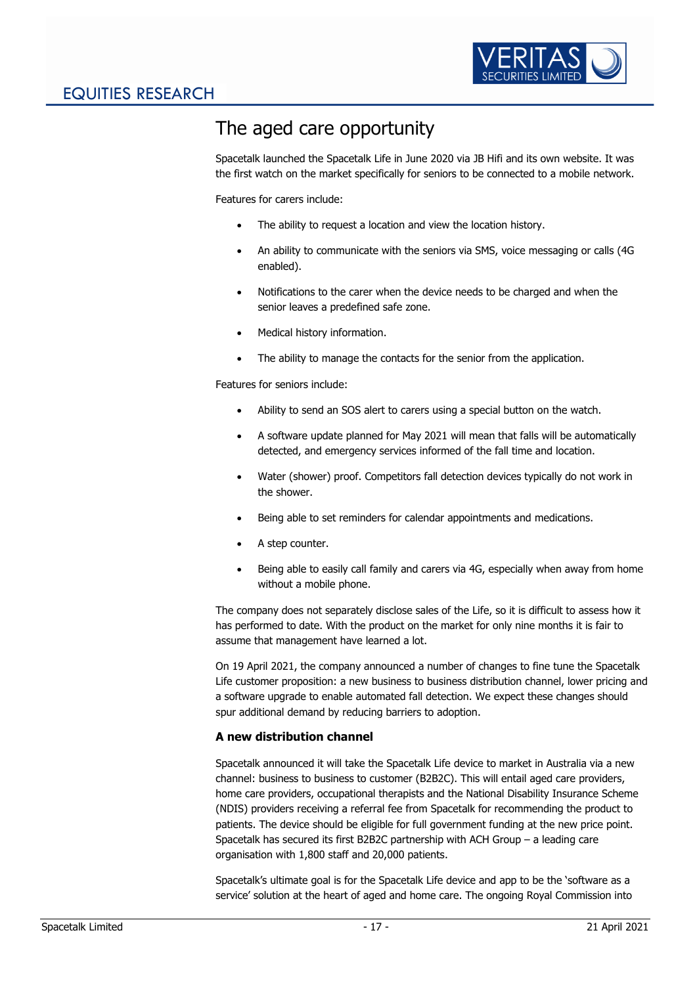

# <span id="page-17-0"></span>The aged care opportunity

Spacetalk launched the Spacetalk Life in June 2020 via JB Hifi and its own website. It was the first watch on the market specifically for seniors to be connected to a mobile network.

Features for carers include:

- The ability to request a location and view the location history.
- An ability to communicate with the seniors via SMS, voice messaging or calls (4G) enabled).
- Notifications to the carer when the device needs to be charged and when the senior leaves a predefined safe zone.
- Medical history information.
- The ability to manage the contacts for the senior from the application.

Features for seniors include:

- Ability to send an SOS alert to carers using a special button on the watch.
- A software update planned for May 2021 will mean that falls will be automatically detected, and emergency services informed of the fall time and location.
- Water (shower) proof. Competitors fall detection devices typically do not work in the shower.
- Being able to set reminders for calendar appointments and medications.
- A step counter.
- Being able to easily call family and carers via 4G, especially when away from home without a mobile phone.

The company does not separately disclose sales of the Life, so it is difficult to assess how it has performed to date. With the product on the market for only nine months it is fair to assume that management have learned a lot.

On 19 April 2021, the company announced a number of changes to fine tune the Spacetalk Life customer proposition: a new business to business distribution channel, lower pricing and a software upgrade to enable automated fall detection. We expect these changes should spur additional demand by reducing barriers to adoption.

### <span id="page-17-1"></span>**A new distribution channel**

Spacetalk announced it will take the Spacetalk Life device to market in Australia via a new channel: business to business to customer (B2B2C). This will entail aged care providers, home care providers, occupational therapists and the National Disability Insurance Scheme (NDIS) providers receiving a referral fee from Spacetalk for recommending the product to patients. The device should be eligible for full government funding at the new price point. Spacetalk has secured its first B2B2C partnership with ACH Group – a leading care organisation with 1,800 staff and 20,000 patients.

Spacetalk's ultimate goal is for the Spacetalk Life device and app to be the 'software as a service' solution at the heart of aged and home care. The ongoing Royal Commission into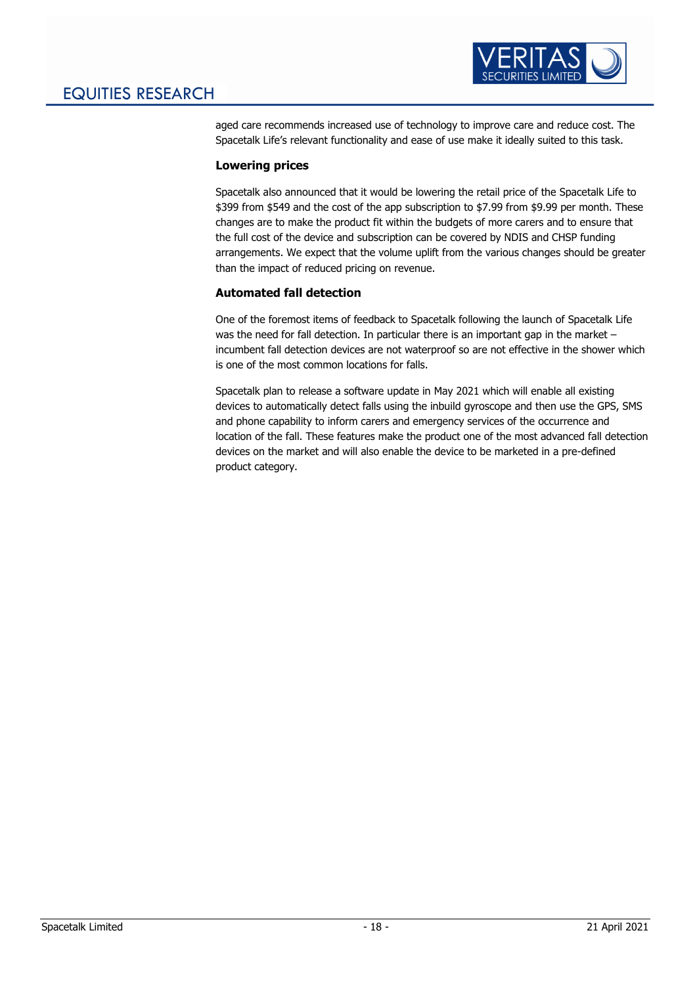

aged care recommends increased use of technology to improve care and reduce cost. The Spacetalk Life's relevant functionality and ease of use make it ideally suited to this task.

### <span id="page-18-0"></span>**Lowering prices**

Spacetalk also announced that it would be lowering the retail price of the Spacetalk Life to \$399 from \$549 and the cost of the app subscription to \$7.99 from \$9.99 per month. These changes are to make the product fit within the budgets of more carers and to ensure that the full cost of the device and subscription can be covered by NDIS and CHSP funding arrangements. We expect that the volume uplift from the various changes should be greater than the impact of reduced pricing on revenue.

### <span id="page-18-1"></span>**Automated fall detection**

One of the foremost items of feedback to Spacetalk following the launch of Spacetalk Life was the need for fall detection. In particular there is an important gap in the market – incumbent fall detection devices are not waterproof so are not effective in the shower which is one of the most common locations for falls.

Spacetalk plan to release a software update in May 2021 which will enable all existing devices to automatically detect falls using the inbuild gyroscope and then use the GPS, SMS and phone capability to inform carers and emergency services of the occurrence and location of the fall. These features make the product one of the most advanced fall detection devices on the market and will also enable the device to be marketed in a pre-defined product category.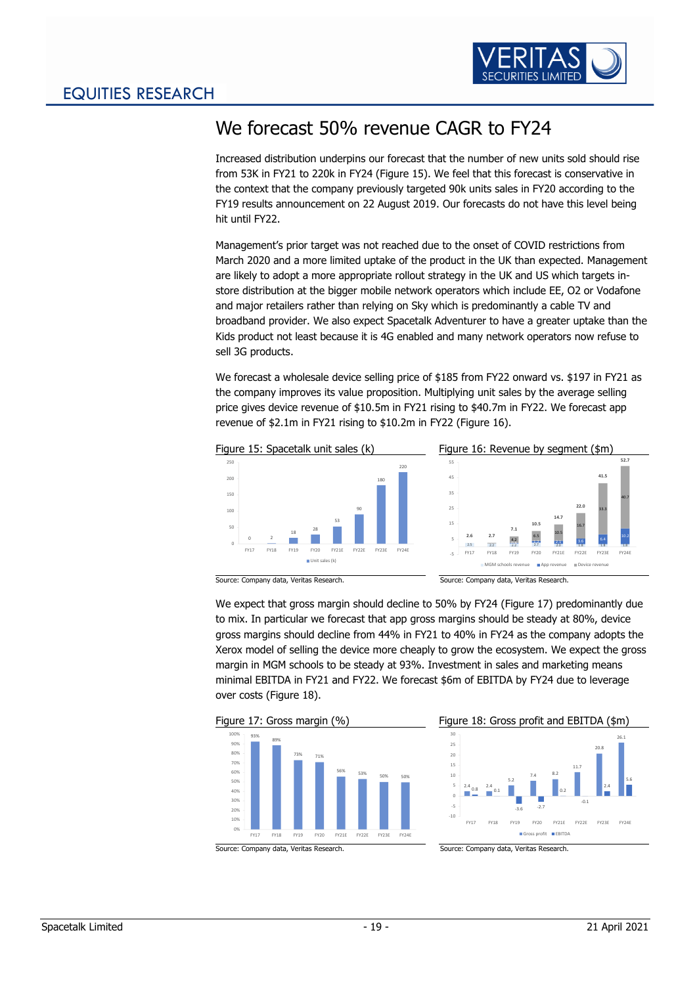

# <span id="page-19-0"></span>We forecast 50% revenue CAGR to FY24

Increased distribution underpins our forecast that the number of new units sold should rise from 53K in FY21 to 220k in FY24 [\(Figure 15\)](#page-19-1). We feel that this forecast is conservative in the context that the company previously targeted 90k units sales in FY20 according to the FY19 results announcement on 22 August 2019. Our forecasts do not have this level being hit until FY22.

Management's prior target was not reached due to the onset of COVID restrictions from March 2020 and a more limited uptake of the product in the UK than expected. Management are likely to adopt a more appropriate rollout strategy in the UK and US which targets instore distribution at the bigger mobile network operators which include EE, O2 or Vodafone and major retailers rather than relying on Sky which is predominantly a cable TV and broadband provider. We also expect Spacetalk Adventurer to have a greater uptake than the Kids product not least because it is 4G enabled and many network operators now refuse to sell 3G products.

We forecast a wholesale device selling price of \$185 from FY22 onward vs. \$197 in FY21 as the company improves its value proposition. Multiplying unit sales by the average selling price gives device revenue of \$10.5m in FY21 rising to \$40.7m in FY22. We forecast app revenue of \$2.1m in FY21 rising to \$10.2m in FY22 [\(Figure 16\)](#page-19-2).

<span id="page-19-2"></span><span id="page-19-1"></span>

We expect that gross margin should decline to 50% by FY24 [\(Figure 17\)](#page-19-3) predominantly due

to mix. In particular we forecast that app gross margins should be steady at 80%, device gross margins should decline from 44% in FY21 to 40% in FY24 as the company adopts the Xerox model of selling the device more cheaply to grow the ecosystem. We expect the gross margin in MGM schools to be steady at 93%. Investment in sales and marketing means minimal EBITDA in FY21 and FY22. We forecast \$6m of EBITDA by FY24 due to leverage over costs [\(Figure 18\)](#page-19-4).

<span id="page-19-3"></span>

<span id="page-19-4"></span>

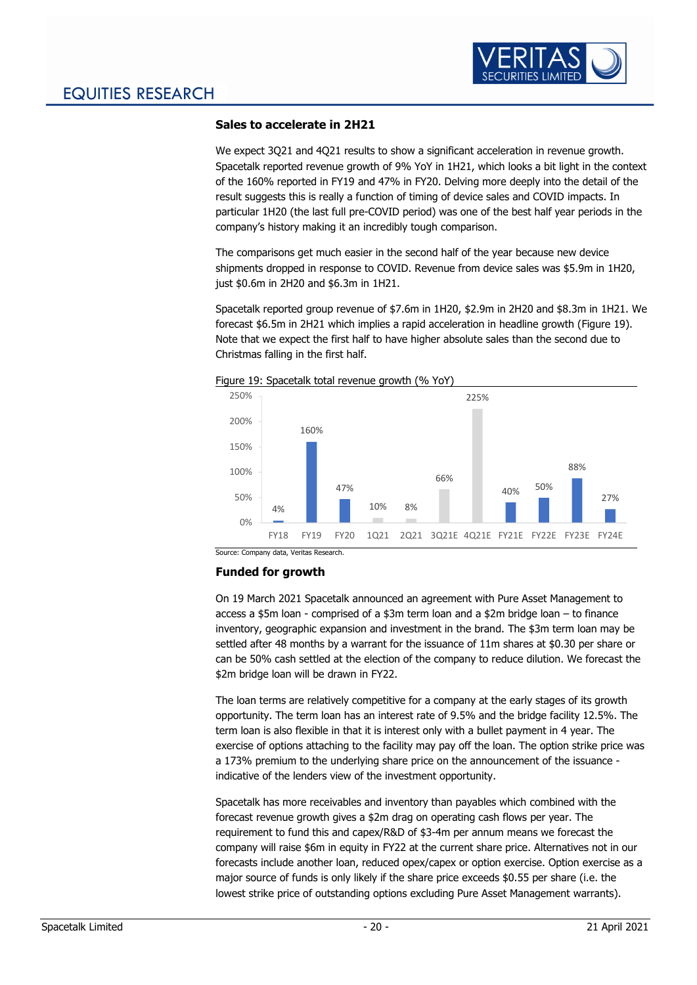

### <span id="page-20-0"></span>**Sales to accelerate in 2H21**

We expect 3Q21 and 4Q21 results to show a significant acceleration in revenue growth. Spacetalk reported revenue growth of 9% YoY in 1H21, which looks a bit light in the context of the 160% reported in FY19 and 47% in FY20. Delving more deeply into the detail of the result suggests this is really a function of timing of device sales and COVID impacts. In particular 1H20 (the last full pre-COVID period) was one of the best half year periods in the company's history making it an incredibly tough comparison.

The comparisons get much easier in the second half of the year because new device shipments dropped in response to COVID. Revenue from device sales was \$5.9m in 1H20, just \$0.6m in 2H20 and \$6.3m in 1H21.

Spacetalk reported group revenue of \$7.6m in 1H20, \$2.9m in 2H20 and \$8.3m in 1H21. We forecast \$6.5m in 2H21 which implies a rapid acceleration in headline growth [\(Figure 19\)](#page-20-2). Note that we expect the first half to have higher absolute sales than the second due to Christmas falling in the first half.



<span id="page-20-2"></span>

### <span id="page-20-1"></span>**Funded for growth**

On 19 March 2021 Spacetalk announced an agreement with Pure Asset Management to access a \$5m loan - comprised of a \$3m term loan and a \$2m bridge loan – to finance inventory, geographic expansion and investment in the brand. The \$3m term loan may be settled after 48 months by a warrant for the issuance of 11m shares at \$0.30 per share or can be 50% cash settled at the election of the company to reduce dilution. We forecast the \$2m bridge loan will be drawn in FY22.

The loan terms are relatively competitive for a company at the early stages of its growth opportunity. The term loan has an interest rate of 9.5% and the bridge facility 12.5%. The term loan is also flexible in that it is interest only with a bullet payment in 4 year. The exercise of options attaching to the facility may pay off the loan. The option strike price was a 173% premium to the underlying share price on the announcement of the issuance indicative of the lenders view of the investment opportunity.

Spacetalk has more receivables and inventory than payables which combined with the forecast revenue growth gives a \$2m drag on operating cash flows per year. The requirement to fund this and capex/R&D of \$3-4m per annum means we forecast the company will raise \$6m in equity in FY22 at the current share price. Alternatives not in our forecasts include another loan, reduced opex/capex or option exercise. Option exercise as a major source of funds is only likely if the share price exceeds \$0.55 per share (i.e. the lowest strike price of outstanding options excluding Pure Asset Management warrants).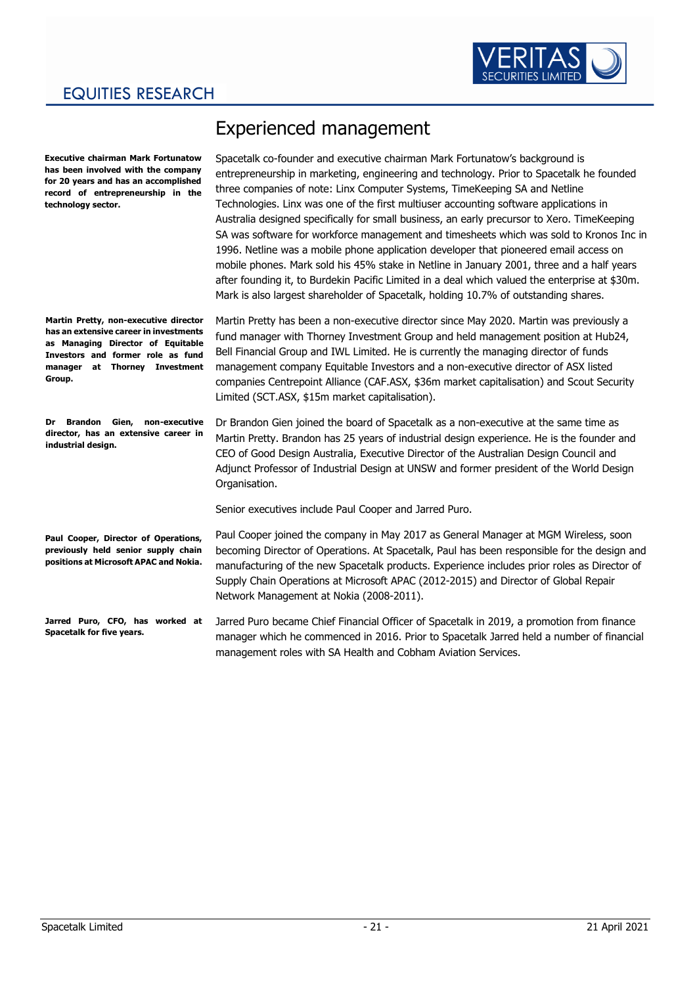

### EQUITIES RESEARCH

**Executive chairman Mark Fortunatow has been involved with the company for 20 years and has an accomplished record of entrepreneurship in the technology sector.**

**Martin Pretty, non-executive director has an extensive career in investments as Managing Director of Equitable Investors and former role as fund manager at Thorney Investment Group.**

**Dr Brandon Gien, non-executive director, has an extensive career in industrial design.**

<span id="page-21-0"></span>Experienced management

Spacetalk co-founder and executive chairman Mark Fortunatow's background is entrepreneurship in marketing, engineering and technology. Prior to Spacetalk he founded three companies of note: Linx Computer Systems, TimeKeeping SA and Netline Technologies. Linx was one of the first multiuser accounting software applications in Australia designed specifically for small business, an early precursor to Xero. TimeKeeping SA was software for workforce management and timesheets which was sold to Kronos Inc in 1996. Netline was a mobile phone application developer that pioneered email access on mobile phones. Mark sold his 45% stake in Netline in January 2001, three and a half years after founding it, to Burdekin Pacific Limited in a deal which valued the enterprise at \$30m. Mark is also largest shareholder of Spacetalk, holding 10.7% of outstanding shares.

Martin Pretty has been a non-executive director since May 2020. Martin was previously a fund manager with Thorney Investment Group and held management position at Hub24, Bell Financial Group and IWL Limited. He is currently the managing director of funds management company Equitable Investors and a non-executive director of ASX listed companies Centrepoint Alliance (CAF.ASX, \$36m market capitalisation) and Scout Security Limited (SCT.ASX, \$15m market capitalisation).

Dr Brandon Gien joined the board of Spacetalk as a non-executive at the same time as Martin Pretty. Brandon has 25 years of industrial design experience. He is the founder and CEO of Good Design Australia, Executive Director of the Australian Design Council and Adjunct Professor of Industrial Design at UNSW and former president of the World Design Organisation.

Senior executives include Paul Cooper and Jarred Puro.

**Paul Cooper, Director of Operations, previously held senior supply chain positions at Microsoft APAC and Nokia.**

**Jarred Puro, CFO, has worked at Spacetalk for five years.**

Paul Cooper joined the company in May 2017 as General Manager at MGM Wireless, soon becoming Director of Operations. At Spacetalk, Paul has been responsible for the design and manufacturing of the new Spacetalk products. Experience includes prior roles as Director of Supply Chain Operations at Microsoft APAC (2012-2015) and Director of Global Repair Network Management at Nokia (2008-2011).

Jarred Puro became Chief Financial Officer of Spacetalk in 2019, a promotion from finance manager which he commenced in 2016. Prior to Spacetalk Jarred held a number of financial management roles with SA Health and Cobham Aviation Services.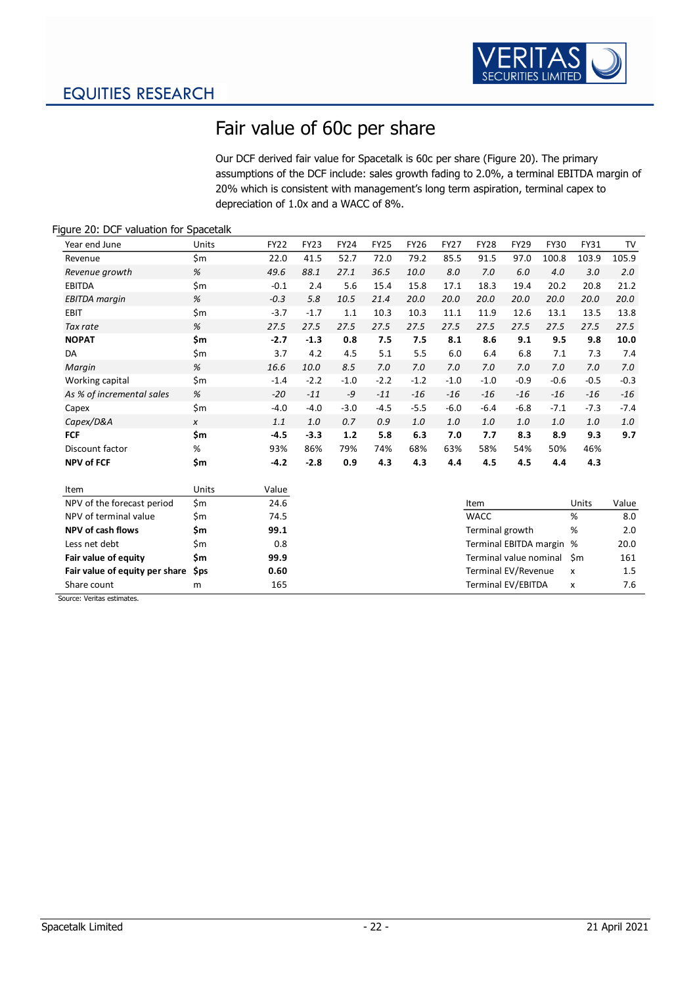

# <span id="page-22-0"></span>Fair value of 60c per share

Our DCF derived fair value for Spacetalk is 60c per share [\(Figure 20\)](#page-22-1). The primary assumptions of the DCF include: sales growth fading to 2.0%, a terminal EBITDA margin of 20% which is consistent with management's long term aspiration, terminal capex to depreciation of 1.0x and a WACC of 8%.

### Year end June Units FY22 FY23 FY24 FY25 FY26 FY27 FY28 FY29 FY30 FY31 TV Revenue \$ m 22.0 41.5 52.7 72.0 79.2 85.5 91.5 97.0 100.8 103.9 105.9 *Revenue growth % 49.6 88.1 27.1 36.5 10.0 8.0 7.0 6.0 4.0 3.0 2.0* EBITDA \$ m -0.1 2.4 5.6 15.4 15.8 17.1 18.3 19.4 20.2 20.8 21.2 *EBITDA margin % -0.3 5.8 10.5 21.4 20.0 20.0 20.0 20.0 20.0 20.0 20.0* EBIT \$ m -3.7 -1.7 1.1 10.3 10.3 11.1 11.9 12.6 13.1 13.5 13.8 *Tax rate % 27.5 27.5 27.5 27.5 27.5 27.5 27.5 27.5 27.5 27.5 27.5* **NOPAT \$ m -2.7 -1.3 0.8 7.5 7.5 8.1 8.6 9.1 9.5 9.8 10.0** DA \$ m 3.7 4.2 4.5 5.1 5.5 6.0 6.4 6.8 7.1 7.3 7.4 *Margin % 16.6 10.0 8.5 7.0 7.0 7.0 7.0 7.0 7.0 7.0 7.0* Working capital 5m -1.4 -2.2 -1.0 -2.2 -1.2 -1.0 -1.0 -0.9 -0.6 -0.5 -0.3 *As % of incremental sales % -20 -11 -9 -11 -16 -16 -16 -16 -16 -16 -16* Capex \$ m -4.0 -4.0 -3.0 -4.5 -5.5 -6.0 -6.4 -6.8 -7.1 -7.3 -7.4 *Capex/D&A <sup>x</sup> 1.1 1.0 0.7 0.9 1.0 1.0 1.0 1.0 1.0 1.0 1.0* **FCF \$ m -4.5 -3.3 1.2 5.8 6.3 7.0 7.7 8.3 8.9 9.3 9.7** Discount factor % 93% 86% 79% 74% 68% 63% 58% 54% 50% 46% **NPV of FCF \$ m -4.2 -2.8 0.9 4.3 4.3 4.4 4.5 4.5 4.4 4.3** Item **Units** Value

| NPV of the forecast period          | \$m | 24.6 | Item                      | Units        | Value   |
|-------------------------------------|-----|------|---------------------------|--------------|---------|
| NPV of terminal value               | Sm  | 74.5 | <b>WACC</b>               | %            | 8.0     |
| NPV of cash flows                   | \$m | 99.1 | Terminal growth           | %            | 2.0     |
| Less net debt                       | \$m | 0.8  | Terminal EBITDA margin %  |              | 20.0    |
| Fair value of equity                | Sm  | 99.9 | Terminal value nominal Sm |              | 161     |
| Fair value of equity per share \$ps |     | 0.60 | Terminal EV/Revenue       | $\mathsf{x}$ | $1.5\,$ |
| Share count                         | m   | 165  | Terminal EV/EBITDA        | x            | 7.6     |

Source: Veritas estimates.

### <span id="page-22-1"></span>Figure 20: DCF valuation for Spacetalk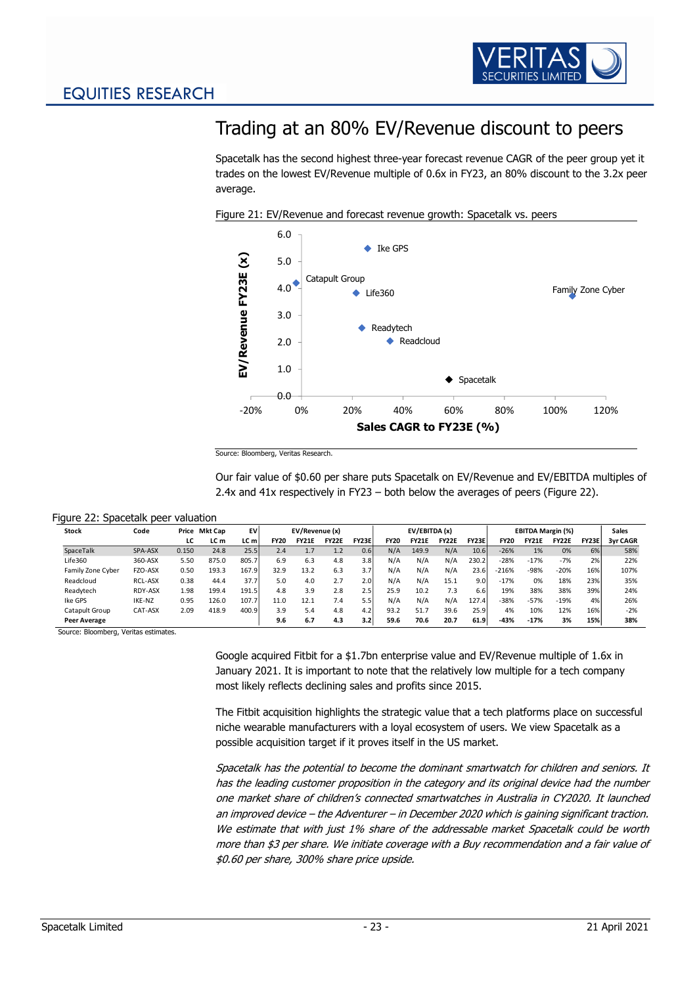

## <span id="page-23-0"></span>Trading at an 80% EV/Revenue discount to peers

Spacetalk has the second highest three-year forecast revenue CAGR of the peer group yet it trades on the lowest EV/Revenue multiple of 0.6x in FY23, an 80% discount to the 3.2x peer average.



Figure 21: EV/Revenue and forecast revenue growth: Spacetalk vs. peers

Our fair value of \$0.60 per share puts Spacetalk on EV/Revenue and EV/EBITDA multiples of 2.4x and 41x respectively in FY23 – both below the averages of peers [\(Figure 22\)](#page-23-1).

<span id="page-23-1"></span>

|  |  | Figure 22: Spacetalk peer valuation |  |  |
|--|--|-------------------------------------|--|--|
|--|--|-------------------------------------|--|--|

| <b>Stock</b>      | Code           | Price | Mkt Cap | EV    | EV/Revenue (x) |              |              |       | EV/EBITDA (x) |              |              |                  | <b>EBITDA Margin (%)</b> |              |              |       | <b>Sales</b>    |
|-------------------|----------------|-------|---------|-------|----------------|--------------|--------------|-------|---------------|--------------|--------------|------------------|--------------------------|--------------|--------------|-------|-----------------|
|                   |                | LC    | LC m    | LC m  | <b>FY20</b>    | <b>FY21E</b> | <b>FY22E</b> | FY23E | <b>FY20</b>   | <b>FY21E</b> | <b>FY22E</b> | <b>FY23E</b>     | <b>FY20</b>              | <b>FY21E</b> | <b>FY22E</b> | FY23E | <b>3vr CAGR</b> |
| SpaceTalk         | SPA-ASX        | 0.150 | 24.8    | 25.5  | 2.4            | 1.7          | 1.2          | 0.6   | N/A           | 149.9        | N/A          | 10.6             | $-26%$                   | 1%           | 0%           | 6%    | 58%             |
| Life360           | 360-ASX        | 5.50  | 875.0   | 805.7 | 6.9            | 6.3          | 4.8          | 3.8   | N/A           | N/A          | N/A          | 230.2            | $-28%$                   | $-17%$       | $-7%$        | 2%    | 22%             |
| Family Zone Cyber | FZO-ASX        | 0.50  | 193.3   | 167.9 | 32.9           | 13.2         | 6.3          | 3.7   | N/A           | N/A          | N/A          | 23.6             | $-216%$                  | $-98%$       | $-20%$       | 16%   | 107%            |
| Readcloud         | <b>RCL-ASX</b> | 0.38  | 44.4    | 37.7  | 5.0            | 4.0          | 2.7          | 2.01  | N/A           | N/A          | 15.1         | 9.0 <sub>1</sub> | $-17%$                   | 0%           | 18%          | 23%   | 35%             |
| Readytech         | RDY-ASX        | 1.98  | 199.4   | 191.5 | 4.8            | 3.9          | 2.8          | 2.5   | 25.9          | 10.2         | 7.3          | 6.6              | 19%                      | 38%          | 38%          | 39%   | 24%             |
| Ike GPS           | IKE-NZ         | 0.95  | 126.0   | 107.7 | 11.0           | 12.1         | 7.4          | 5.5   | N/A           | N/A          | N/A          | 127.4            | $-38%$                   | $-57%$       | $-19%$       | 4%    | 26%             |
| Catapult Group    | CAT-ASX        | 2.09  | 418.9   | 400.9 | 3.9            | 5.4          | 4.8          | 4.2   | 93.2          | 51.7         | 39.6         | 25.9             | 4%                       | 10%          | 12%          | 16%   | $-2%$           |
| Peer Average      |                |       |         |       | 9.6            | 6.7          | 4.3          | 3.2   | 59.6          | 70.6         | 20.7         | 61.9             | $-43%$                   | $-17%$       | 3%           | 15%   | 38%             |

Source: Bloomberg, Veritas estimates.

Google acquired Fitbit for a \$1.7bn enterprise value and EV/Revenue multiple of 1.6x in January 2021. It is important to note that the relatively low multiple for a tech company most likely reflects declining sales and profits since 2015.

The Fitbit acquisition highlights the strategic value that a tech platforms place on successful niche wearable manufacturers with a loyal ecosystem of users. We view Spacetalk as a possible acquisition target if it proves itself in the US market.

Spacetalk has the potential to become the dominant smartwatch for children and seniors. It has the leading customer proposition in the category and its original device had the number one market share of children's connected smartwatches in Australia in CY2020. It launched an improved device – the Adventurer – in December 2020 which is gaining significant traction. We estimate that with just 1% share of the addressable market Spacetalk could be worth more than \$3 per share. We initiate coverage with a Buy recommendation and a fair value of \$0.60 per share, 300% share price upside.

Source: Bloomberg, Veritas Research.